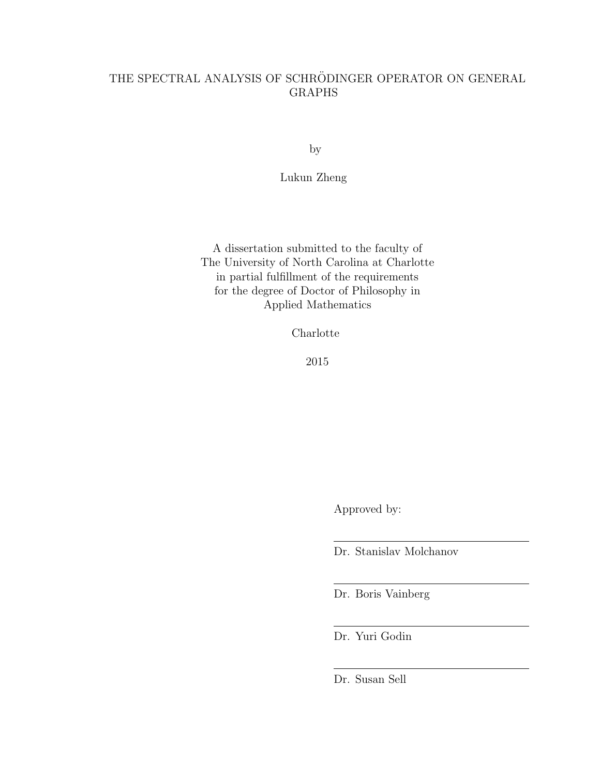# THE SPECTRAL ANALYSIS OF SCHRÖDINGER OPERATOR ON GENERAL GRAPHS

by

Lukun Zheng

A dissertation submitted to the faculty of The University of North Carolina at Charlotte in partial fulfillment of the requirements for the degree of Doctor of Philosophy in Applied Mathematics

Charlotte

2015

Approved by:

Dr. Stanislav Molchanov

Dr. Boris Vainberg

Dr. Yuri Godin

Dr. Susan Sell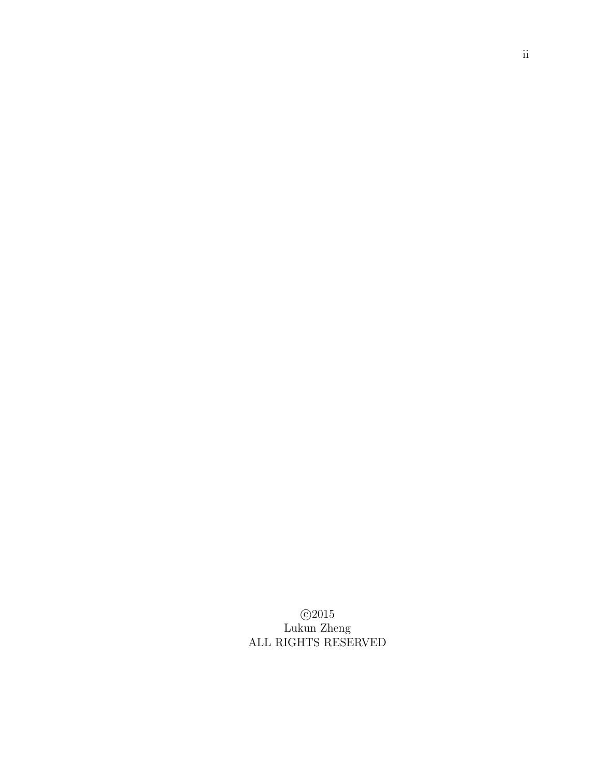c 2015 Lukun Zheng ALL RIGHTS RESERVED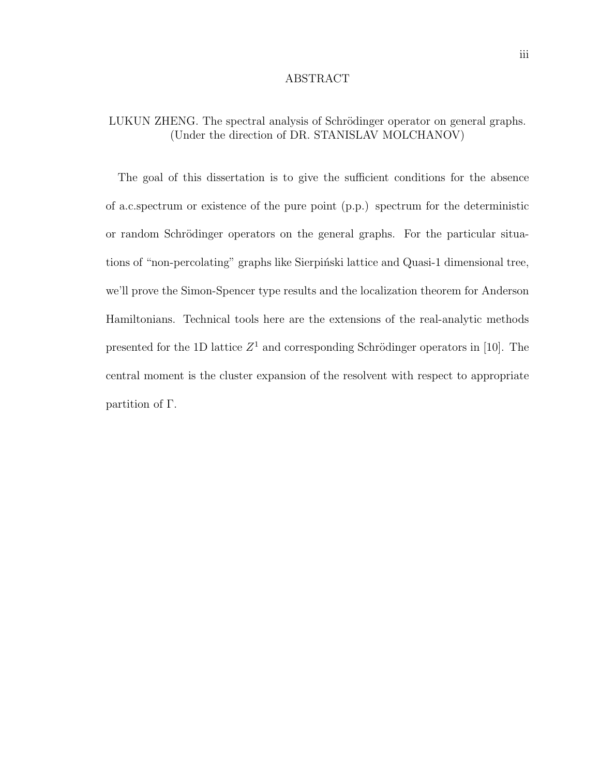#### ABSTRACT

## LUKUN ZHENG. The spectral analysis of Schrödinger operator on general graphs. (Under the direction of DR. STANISLAV MOLCHANOV)

The goal of this dissertation is to give the sufficient conditions for the absence of a.c.spectrum or existence of the pure point (p.p.) spectrum for the deterministic or random Schrödinger operators on the general graphs. For the particular situations of "non-percolating" graphs like Sierpinski lattice and Quasi-1 dimensional tree, we'll prove the Simon-Spencer type results and the localization theorem for Anderson Hamiltonians. Technical tools here are the extensions of the real-analytic methods presented for the 1D lattice  $Z^1$  and corresponding Schrödinger operators in [10]. The central moment is the cluster expansion of the resolvent with respect to appropriate partition of Γ.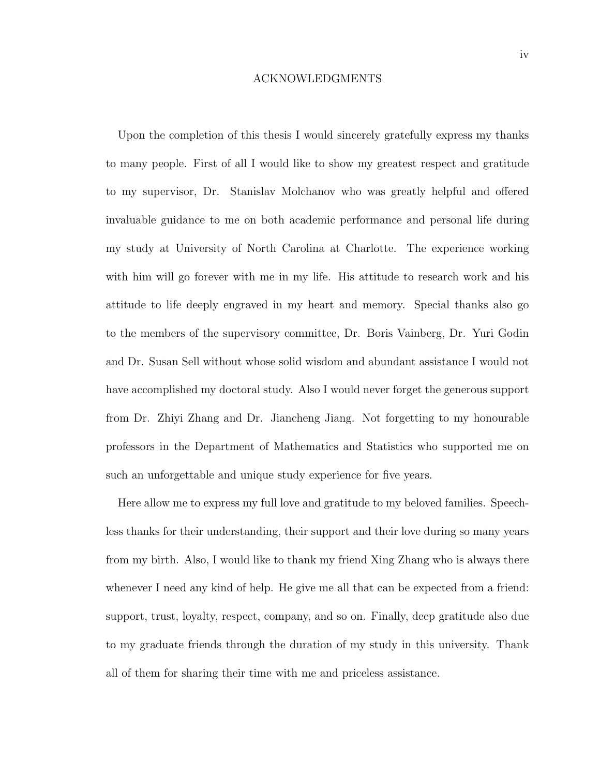#### ACKNOWLEDGMENTS

Upon the completion of this thesis I would sincerely gratefully express my thanks to many people. First of all I would like to show my greatest respect and gratitude to my supervisor, Dr. Stanislav Molchanov who was greatly helpful and offered invaluable guidance to me on both academic performance and personal life during my study at University of North Carolina at Charlotte. The experience working with him will go forever with me in my life. His attitude to research work and his attitude to life deeply engraved in my heart and memory. Special thanks also go to the members of the supervisory committee, Dr. Boris Vainberg, Dr. Yuri Godin and Dr. Susan Sell without whose solid wisdom and abundant assistance I would not have accomplished my doctoral study. Also I would never forget the generous support from Dr. Zhiyi Zhang and Dr. Jiancheng Jiang. Not forgetting to my honourable professors in the Department of Mathematics and Statistics who supported me on such an unforgettable and unique study experience for five years.

Here allow me to express my full love and gratitude to my beloved families. Speechless thanks for their understanding, their support and their love during so many years from my birth. Also, I would like to thank my friend Xing Zhang who is always there whenever I need any kind of help. He give me all that can be expected from a friend: support, trust, loyalty, respect, company, and so on. Finally, deep gratitude also due to my graduate friends through the duration of my study in this university. Thank all of them for sharing their time with me and priceless assistance.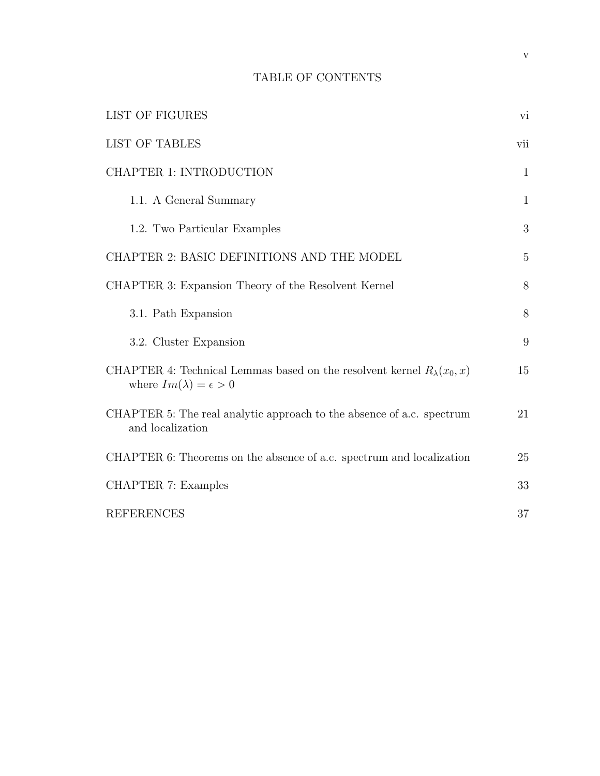# TABLE OF CONTENTS

| LIST OF FIGURES                                                                                                       | vi           |
|-----------------------------------------------------------------------------------------------------------------------|--------------|
| <b>LIST OF TABLES</b>                                                                                                 | vii          |
| CHAPTER 1: INTRODUCTION                                                                                               | $\mathbf{1}$ |
| 1.1. A General Summary                                                                                                | $\mathbf{1}$ |
| 1.2. Two Particular Examples                                                                                          | 3            |
| CHAPTER 2: BASIC DEFINITIONS AND THE MODEL                                                                            | 5            |
| CHAPTER 3: Expansion Theory of the Resolvent Kernel                                                                   | 8            |
| 3.1. Path Expansion                                                                                                   | 8            |
| 3.2. Cluster Expansion                                                                                                | 9            |
| CHAPTER 4: Technical Lemmas based on the resolvent kernel $R_{\lambda}(x_0, x)$<br>where $Im(\lambda) = \epsilon > 0$ | 15           |
| CHAPTER 5: The real analytic approach to the absence of a.c. spectrum<br>and localization                             | 21           |
| CHAPTER 6: Theorems on the absence of a.c. spectrum and localization                                                  | 25           |
| <b>CHAPTER 7: Examples</b>                                                                                            | 33           |
| <b>REFERENCES</b>                                                                                                     | 37           |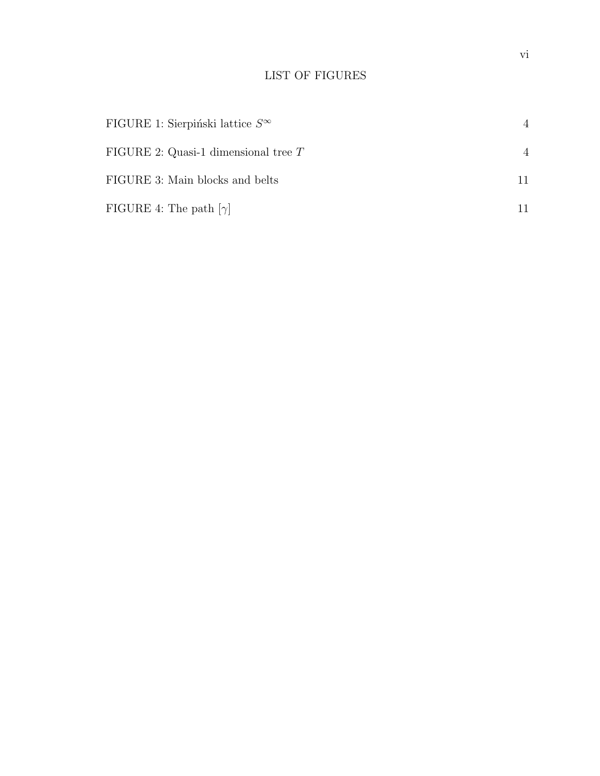# LIST OF FIGURES

| FIGURE 1: Sierpiński lattice $S^{\infty}$ | $\overline{4}$ |
|-------------------------------------------|----------------|
| FIGURE 2: Quasi-1 dimensional tree $T$    | $\overline{4}$ |
| FIGURE 3: Main blocks and belts           |                |
| FIGURE 4: The path $[\gamma]$             |                |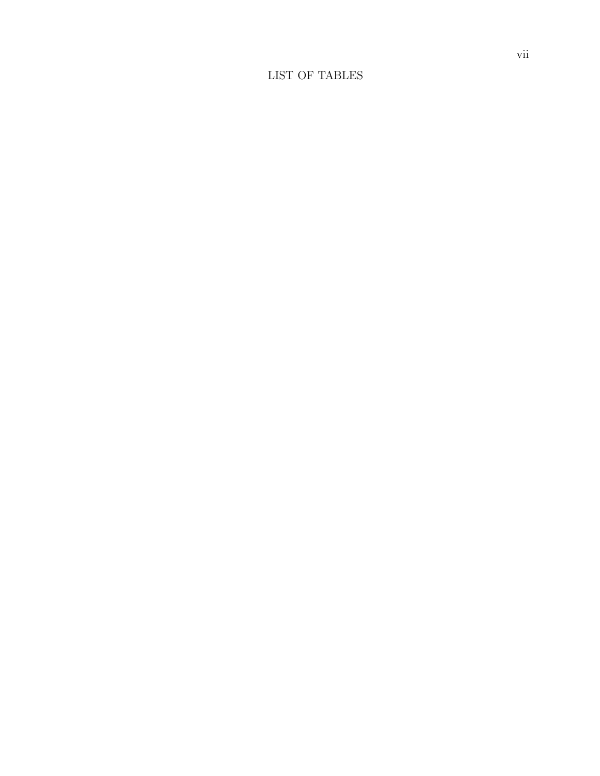# LIST OF TABLES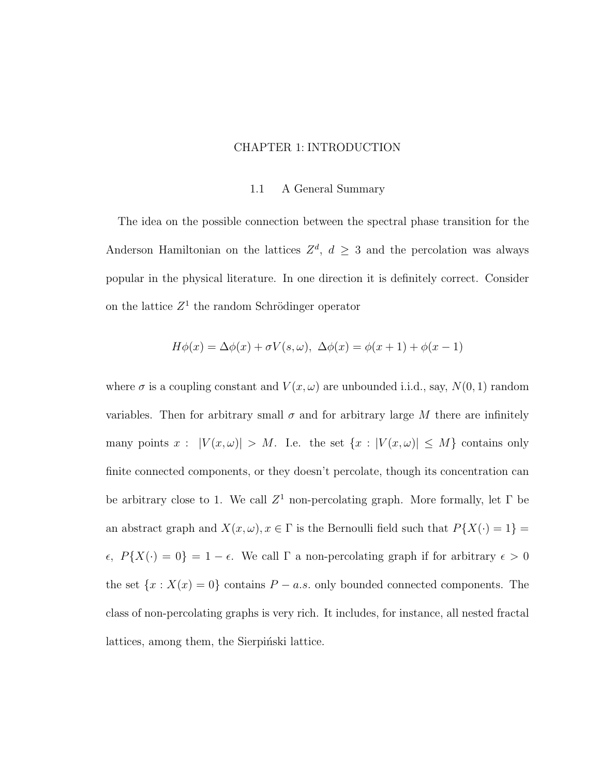### CHAPTER 1: INTRODUCTION

#### 1.1 A General Summary

The idea on the possible connection between the spectral phase transition for the Anderson Hamiltonian on the lattices  $Z^d$ ,  $d \geq 3$  and the percolation was always popular in the physical literature. In one direction it is definitely correct. Consider on the lattice  $Z^1$  the random Schrödinger operator

$$
H\phi(x) = \Delta\phi(x) + \sigma V(s, \omega), \ \Delta\phi(x) = \phi(x+1) + \phi(x-1)
$$

where  $\sigma$  is a coupling constant and  $V(x,\omega)$  are unbounded i.i.d., say,  $N(0,1)$  random variables. Then for arbitrary small  $\sigma$  and for arbitrary large M there are infinitely many points  $x : |V(x, \omega)| > M$ . I.e. the set  $\{x : |V(x, \omega)| \leq M\}$  contains only finite connected components, or they doesn't percolate, though its concentration can be arbitrary close to 1. We call  $Z^1$  non-percolating graph. More formally, let  $\Gamma$  be an abstract graph and  $X(x, \omega), x \in \Gamma$  is the Bernoulli field such that  $P\{X(\cdot) = 1\}$  $\epsilon$ ,  $P\{X(\cdot) = 0\} = 1 - \epsilon$ . We call  $\Gamma$  a non-percolating graph if for arbitrary  $\epsilon > 0$ the set  $\{x : X(x) = 0\}$  contains  $P - a.s.$  only bounded connected components. The class of non-percolating graphs is very rich. It includes, for instance, all nested fractal lattices, among them, the Sierpinski lattice.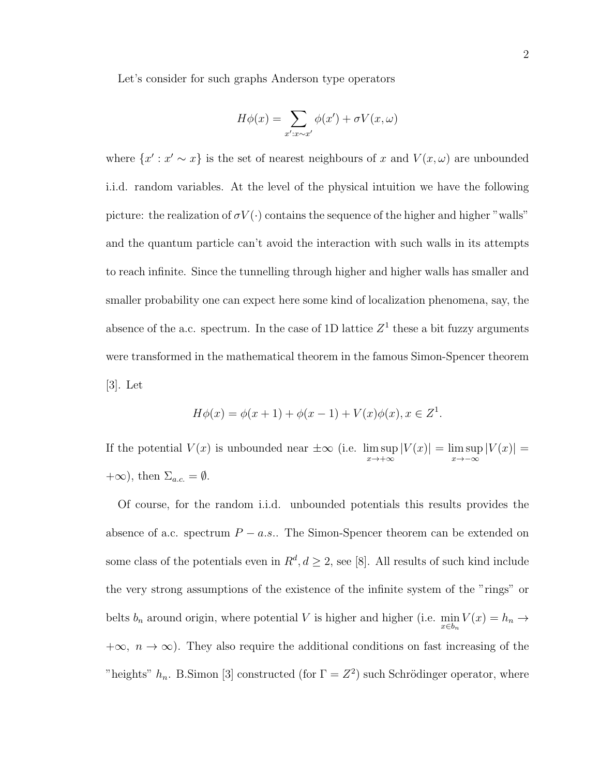Let's consider for such graphs Anderson type operators

$$
H\phi(x) = \sum_{x':x \sim x'} \phi(x') + \sigma V(x,\omega)
$$

where  $\{x': x' \sim x\}$  is the set of nearest neighbours of x and  $V(x, \omega)$  are unbounded i.i.d. random variables. At the level of the physical intuition we have the following picture: the realization of  $\sigma V(\cdot)$  contains the sequence of the higher and higher "walls" and the quantum particle can't avoid the interaction with such walls in its attempts to reach infinite. Since the tunnelling through higher and higher walls has smaller and smaller probability one can expect here some kind of localization phenomena, say, the absence of the a.c. spectrum. In the case of 1D lattice  $Z<sup>1</sup>$  these a bit fuzzy arguments were transformed in the mathematical theorem in the famous Simon-Spencer theorem [3]. Let

$$
H\phi(x) = \phi(x+1) + \phi(x-1) + V(x)\phi(x), x \in Z^1.
$$

If the potential  $V(x)$  is unbounded near  $\pm \infty$  (i.e. lim sup  $x\rightarrow+\infty$  $|V(x)| = \limsup$  $x \rightarrow -\infty$  $|V(x)| =$  $+\infty$ ), then  $\Sigma_{a.c.} = \emptyset$ .

Of course, for the random i.i.d. unbounded potentials this results provides the absence of a.c. spectrum  $P - a.s.$ . The Simon-Spencer theorem can be extended on some class of the potentials even in  $R^d, d \geq 2$ , see [8]. All results of such kind include the very strong assumptions of the existence of the infinite system of the "rings" or belts  $b_n$  around origin, where potential V is higher and higher (i.e.  $\min_{x \in b_n} V(x) = h_n \to$  $+\infty$ ,  $n \to \infty$ ). They also require the additional conditions on fast increasing of the "heights"  $h_n$ . B.Simon [3] constructed (for  $\Gamma = Z^2$ ) such Schrödinger operator, where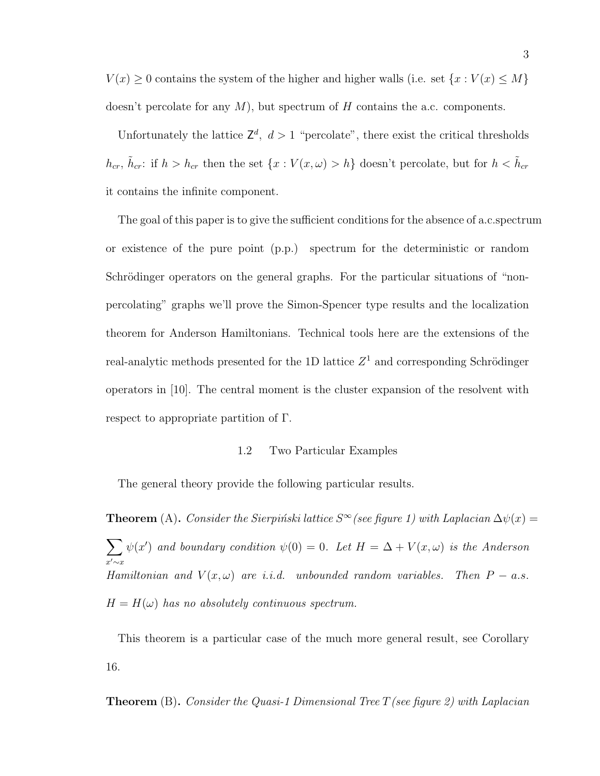$V(x) \geq 0$  contains the system of the higher and higher walls (i.e. set  $\{x : V(x) \leq M\}$ doesn't percolate for any  $M$ ), but spectrum of H contains the a.c. components.

Unfortunately the lattice  $\mathsf{Z}^d$ ,  $d > 1$  "percolate", there exist the critical thresholds  $h_{cr}$ ,  $\tilde{h}_{cr}$ : if  $h > h_{cr}$  then the set  $\{x : V(x, \omega) > h\}$  doesn't percolate, but for  $h < \tilde{h}_{cr}$ it contains the infinite component.

The goal of this paper is to give the sufficient conditions for the absence of a.c.spectrum or existence of the pure point (p.p.) spectrum for the deterministic or random Schrödinger operators on the general graphs. For the particular situations of "nonpercolating" graphs we'll prove the Simon-Spencer type results and the localization theorem for Anderson Hamiltonians. Technical tools here are the extensions of the real-analytic methods presented for the 1D lattice  $Z^1$  and corresponding Schrödinger operators in [10]. The central moment is the cluster expansion of the resolvent with respect to appropriate partition of Γ.

#### 1.2 Two Particular Examples

The general theory provide the following particular results.

**Theorem** (A). Consider the Sierpinski lattice  $S^{\infty}$  (see figure 1) with Laplacian  $\Delta \psi(x) =$  $\sum$  $x'\mathord{\sim}x$  $\psi(x')$  and boundary condition  $\psi(0) = 0$ . Let  $H = \Delta + V(x, \omega)$  is the Anderson Hamiltonian and  $V(x, \omega)$  are i.i.d. unbounded random variables. Then  $P - a.s$ .  $H = H(\omega)$  has no absolutely continuous spectrum.

This theorem is a particular case of the much more general result, see Corollary 16.

**Theorem** (B). Consider the Quasi-1 Dimensional Tree T (see figure 2) with Laplacian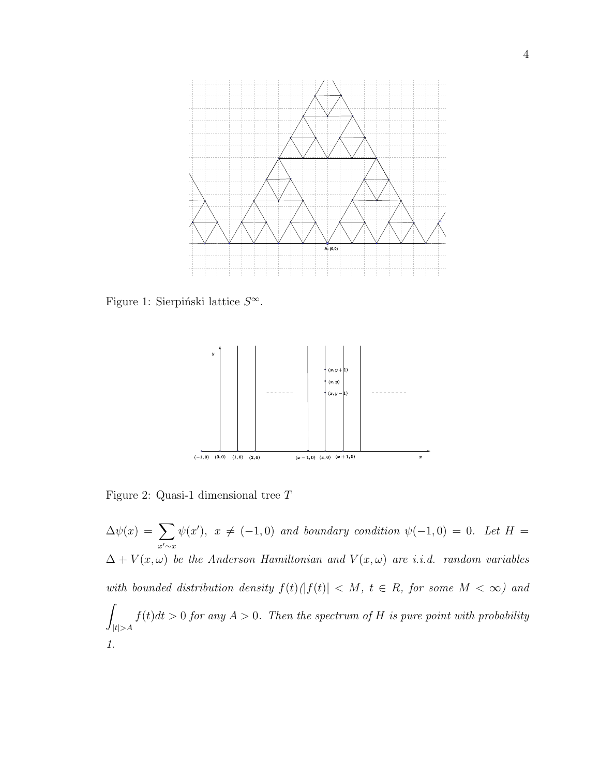

Figure 1: Sierpiński lattice  $S^{\infty}$ .



Figure 2: Quasi-1 dimensional tree T

 $\Delta \psi(x) = \sum$  $x'\mathord{\sim}x$  $\psi(x')$ ,  $x \neq (-1,0)$  and boundary condition  $\psi(-1,0) = 0$ . Let  $H =$  $\Delta + V(x, \omega)$  be the Anderson Hamiltonian and  $V(x, \omega)$  are i.i.d. random variables with bounded distribution density  $f(t)(|f(t)| < M$ ,  $t \in R$ , for some  $M < \infty$ ) and Z  $|t|>A$  $f(t)dt > 0$  for any  $A > 0$ . Then the spectrum of H is pure point with probability 1.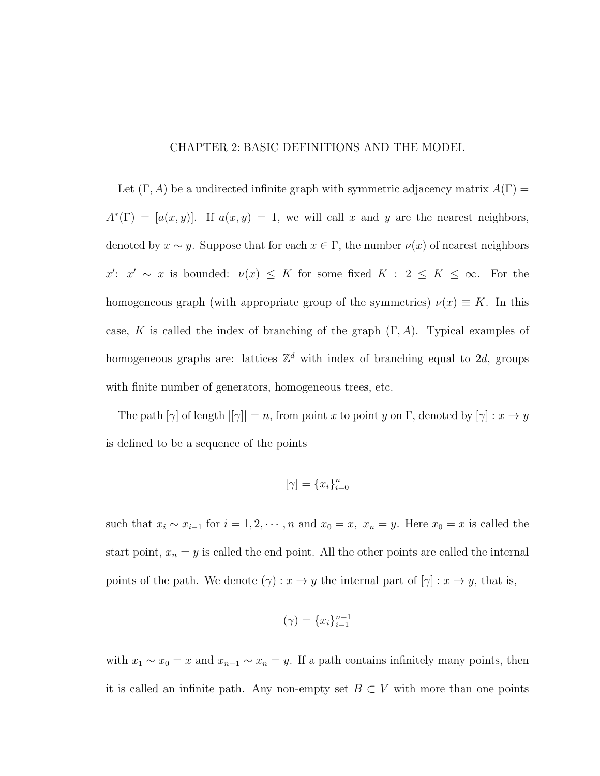### CHAPTER 2: BASIC DEFINITIONS AND THE MODEL

Let  $(\Gamma, A)$  be a undirected infinite graph with symmetric adjacency matrix  $A(\Gamma)$  =  $A^*(\Gamma) = [a(x, y)]$ . If  $a(x, y) = 1$ , we will call x and y are the nearest neighbors, denoted by  $x \sim y$ . Suppose that for each  $x \in \Gamma$ , the number  $\nu(x)$  of nearest neighbors x':  $x' \sim x$  is bounded:  $\nu(x) \leq K$  for some fixed  $K : 2 \leq K \leq \infty$ . For the homogeneous graph (with appropriate group of the symmetries)  $\nu(x) \equiv K$ . In this case, K is called the index of branching of the graph  $(\Gamma, A)$ . Typical examples of homogeneous graphs are: lattices  $\mathbb{Z}^d$  with index of branching equal to 2d, groups with finite number of generators, homogeneous trees, etc.

The path  $[\gamma]$  of length  $|[\gamma]| = n$ , from point x to point y on  $\Gamma$ , denoted by  $[\gamma] : x \to y$ is defined to be a sequence of the points

$$
[\gamma] = \{x_i\}_{i=0}^n
$$

such that  $x_i \sim x_{i-1}$  for  $i = 1, 2, \cdots, n$  and  $x_0 = x$ ,  $x_n = y$ . Here  $x_0 = x$  is called the start point,  $x_n = y$  is called the end point. All the other points are called the internal points of the path. We denote  $(\gamma) : x \to y$  the internal part of  $[\gamma] : x \to y$ , that is,

$$
(\gamma) = \{x_i\}_{i=1}^{n-1}
$$

with  $x_1 \sim x_0 = x$  and  $x_{n-1} \sim x_n = y$ . If a path contains infinitely many points, then it is called an infinite path. Any non-empty set  $B\subset V$  with more than one points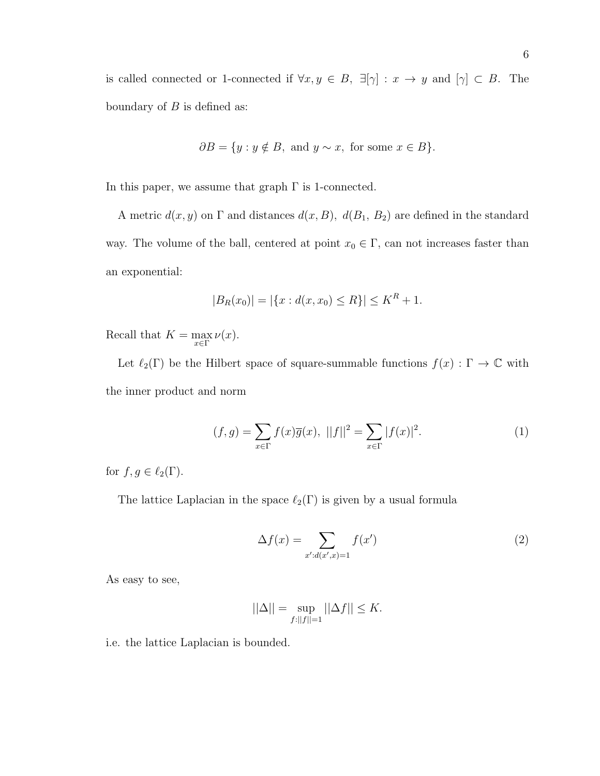is called connected or 1-connected if  $\forall x, y \in B$ ,  $\exists[\gamma] : x \to y$  and  $[\gamma] \subset B$ . The boundary of  $B$  is defined as:

$$
\partial B = \{ y : y \notin B, \text{ and } y \sim x, \text{ for some } x \in B \}.
$$

In this paper, we assume that graph  $\Gamma$  is 1-connected.

A metric  $d(x, y)$  on  $\Gamma$  and distances  $d(x, B)$ ,  $d(B_1, B_2)$  are defined in the standard way. The volume of the ball, centered at point  $x_0 \in \Gamma$ , can not increases faster than an exponential:

$$
|B_R(x_0)| = |\{x : d(x, x_0) \le R\}| \le K^R + 1.
$$

Recall that  $K = \max_{x \in \Gamma} \nu(x)$ .

Let  $\ell_2(\Gamma)$  be the Hilbert space of square-summable functions  $f(x) : \Gamma \to \mathbb{C}$  with the inner product and norm

$$
(f,g) = \sum_{x \in \Gamma} f(x)\overline{g}(x), \ ||f||^2 = \sum_{x \in \Gamma} |f(x)|^2.
$$
 (1)

for  $f, g \in \ell_2(\Gamma)$ .

The lattice Laplacian in the space  $\ell_2(\Gamma)$  is given by a usual formula

$$
\Delta f(x) = \sum_{x':d(x',x)=1} f(x') \tag{2}
$$

As easy to see,

$$
||\Delta|| = \sup_{f:||f||=1} ||\Delta f|| \le K.
$$

i.e. the lattice Laplacian is bounded.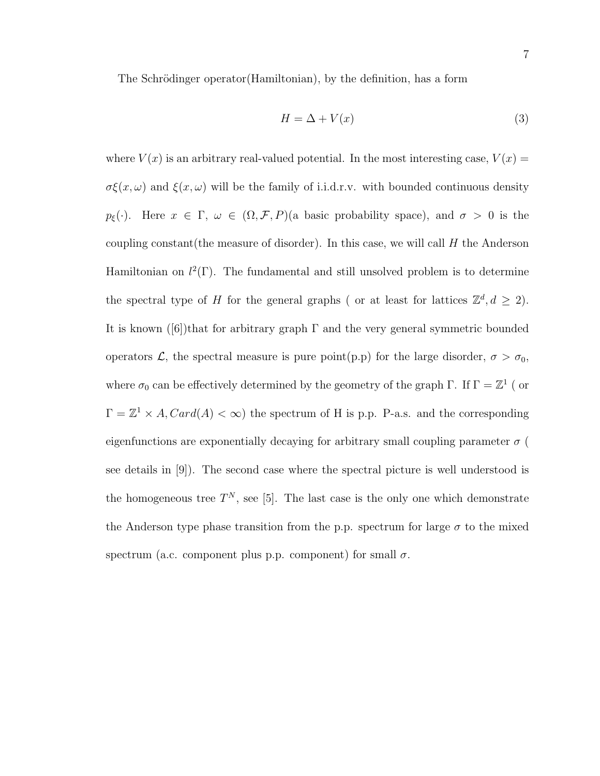The Schrödinger operator (Hamiltonian), by the definition, has a form

$$
H = \Delta + V(x) \tag{3}
$$

where  $V(x)$  is an arbitrary real-valued potential. In the most interesting case,  $V(x) =$  $\sigma \xi(x,\omega)$  and  $\xi(x,\omega)$  will be the family of i.i.d.r.v. with bounded continuous density  $p_{\xi}(\cdot)$ . Here  $x \in \Gamma$ ,  $\omega \in (\Omega, \mathcal{F}, P)$ (a basic probability space), and  $\sigma > 0$  is the coupling constant (the measure of disorder). In this case, we will call  $H$  the Anderson Hamiltonian on  $l^2(\Gamma)$ . The fundamental and still unsolved problem is to determine the spectral type of H for the general graphs (or at least for lattices  $\mathbb{Z}^d, d \geq 2$ ). It is known  $([6])$ that for arbitrary graph  $\Gamma$  and the very general symmetric bounded operators  $\mathcal{L}$ , the spectral measure is pure point(p.p) for the large disorder,  $\sigma > \sigma_0$ , where  $\sigma_0$  can be effectively determined by the geometry of the graph Γ. If  $\Gamma = \mathbb{Z}^1$  ( or  $\Gamma = \mathbb{Z}^1 \times A$ ,  $Card(A) < \infty$ ) the spectrum of H is p.p. P-a.s. and the corresponding eigenfunctions are exponentially decaying for arbitrary small coupling parameter  $\sigma$  ( see details in [9]). The second case where the spectral picture is well understood is the homogeneous tree  $T^N$ , see [5]. The last case is the only one which demonstrate the Anderson type phase transition from the p.p. spectrum for large  $\sigma$  to the mixed spectrum (a.c. component plus p.p. component) for small  $\sigma$ .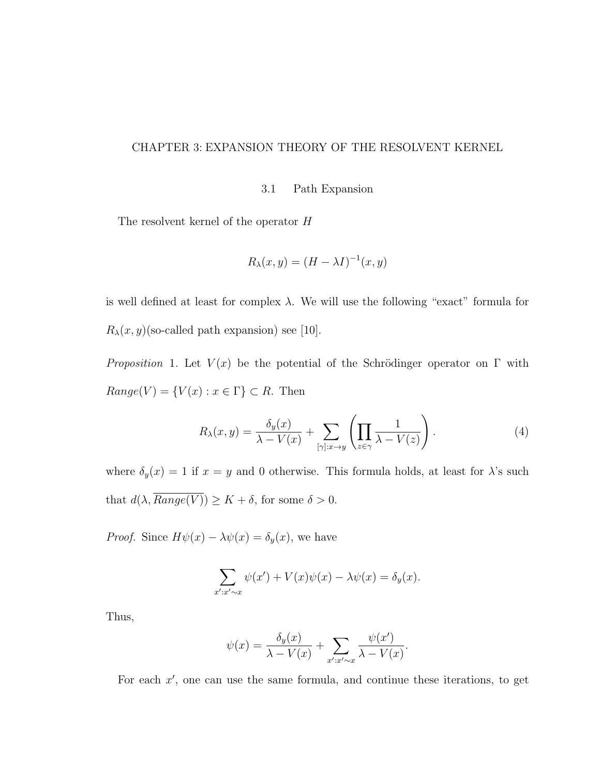### CHAPTER 3: EXPANSION THEORY OF THE RESOLVENT KERNEL

3.1 Path Expansion

The resolvent kernel of the operator H

$$
R_{\lambda}(x,y) = (H - \lambda I)^{-1}(x,y)
$$

is well defined at least for complex  $\lambda$ . We will use the following "exact" formula for  $R_{\lambda}(x, y)$ (so-called path expansion) see [10].

Proposition 1. Let  $V(x)$  be the potential of the Schrödinger operator on Γ with  $Range(V) = \{V(x) : x \in \Gamma\} \subset R$ . Then

$$
R_{\lambda}(x,y) = \frac{\delta_y(x)}{\lambda - V(x)} + \sum_{[\gamma]:x \to y} \left( \prod_{z \in \gamma} \frac{1}{\lambda - V(z)} \right). \tag{4}
$$

where  $\delta_y(x) = 1$  if  $x = y$  and 0 otherwise. This formula holds, at least for  $\lambda$ 's such that  $d(\lambda, \overline{Range(V)}) \geq K + \delta$ , for some  $\delta > 0$ .

*Proof.* Since  $H\psi(x) - \lambda \psi(x) = \delta_y(x)$ , we have

$$
\sum_{x':x'\sim x} \psi(x') + V(x)\psi(x) - \lambda\psi(x) = \delta_y(x).
$$

Thus,

$$
\psi(x) = \frac{\delta_y(x)}{\lambda - V(x)} + \sum_{x':x' \sim x} \frac{\psi(x')}{\lambda - V(x)}.
$$

For each  $x'$ , one can use the same formula, and continue these iterations, to get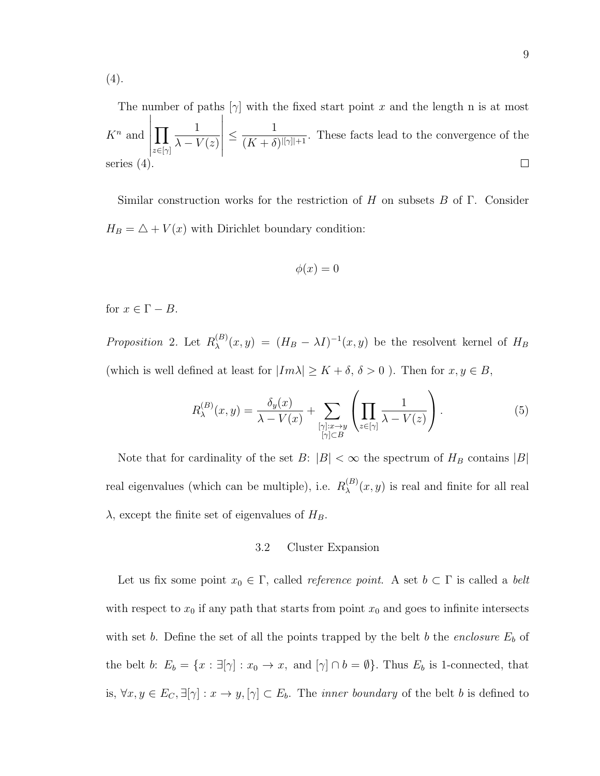(4).

The number of paths  $[\gamma]$  with the fixed start point x and the length n is at most  $\begin{array}{c} \hline \end{array}$  1  $\leq \frac{1}{\sqrt{11}+\frac{1}{11}}$  $\Pi$  $K^n$  and  $\frac{1}{(K+\delta)^{[|\gamma|]+1}}$ . These facts lead to the convergence of the  $\lambda - V(z)$  $z\in[\gamma]$  $\Box$ series (4).

Similar construction works for the restriction of H on subsets B of  $\Gamma$ . Consider  $H_B = \triangle + V(x)$  with Dirichlet boundary condition:

$$
\phi(x) = 0
$$

for  $x \in \Gamma - B$ .

*Proposition* 2. Let  $R_{\lambda}^{(B)}$  $\lambda_A^{(B)}(x,y) = (H_B - \lambda I)^{-1}(x,y)$  be the resolvent kernel of  $H_B$ (which is well defined at least for  $|Im \lambda| \geq K + \delta, \, \delta > 0$  ). Then for  $x,y \in B,$ 

$$
R_{\lambda}^{(B)}(x,y) = \frac{\delta_y(x)}{\lambda - V(x)} + \sum_{\substack{[\gamma]:x \to y \\ [\gamma] \subset B}} \left( \prod_{z \in [\gamma]} \frac{1}{\lambda - V(z)} \right). \tag{5}
$$

Note that for cardinality of the set  $B: |B| < \infty$  the spectrum of  $H_B$  contains  $|B|$ real eigenvalues (which can be multiple), i.e.  $R_{\lambda}^{(B)}$  $\lambda^{(B)}(x, y)$  is real and finite for all real  $\lambda$ , except the finite set of eigenvalues of  $H_B$ .

### 3.2 Cluster Expansion

Let us fix some point  $x_0 \in \Gamma$ , called *reference point*. A set  $b \subset \Gamma$  is called a *belt* with respect to  $x_0$  if any path that starts from point  $x_0$  and goes to infinite intersects with set b. Define the set of all the points trapped by the belt b the enclosure  $E_b$  of the belt b:  $E_b = \{x : \exists[\gamma] : x_0 \to x, \text{ and } [\gamma] \cap b = \emptyset\}$ . Thus  $E_b$  is 1-connected, that is,  $\forall x, y \in E_C$ ,  $\exists [\gamma] : x \to y, [\gamma] \subset E_b$ . The *inner boundary* of the belt b is defined to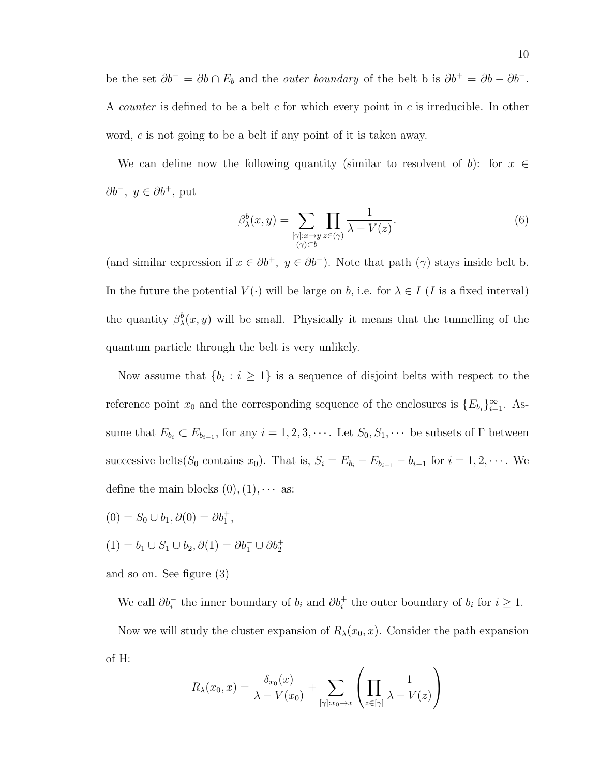be the set  $\partial b^{-} = \partial b \cap E_b$  and the *outer boundary* of the belt b is  $\partial b^{+} = \partial b - \partial b^{-}$ . A *counter* is defined to be a belt  $c$  for which every point in  $c$  is irreducible. In other word, c is not going to be a belt if any point of it is taken away.

We can define now the following quantity (similar to resolvent of b): for  $x \in$ ∂ $b^-$ ,  $y \in \partial b^+$ , put

$$
\beta_{\lambda}^{b}(x,y) = \sum_{\substack{[\gamma]:x \to y \\ (\gamma) \subset b}} \prod_{z \in (\gamma)} \frac{1}{\lambda - V(z)}.
$$
\n
$$
(6)
$$

(and similar expression if  $x \in \partial b^+$ ,  $y \in \partial b^-$ ). Note that path  $(\gamma)$  stays inside belt b. In the future the potential  $V(\cdot)$  will be large on b, i.e. for  $\lambda \in I$  (I is a fixed interval) the quantity  $\beta_{\lambda}^{b}(x, y)$  will be small. Physically it means that the tunnelling of the quantum particle through the belt is very unlikely.

Now assume that  $\{b_i : i \geq 1\}$  is a sequence of disjoint belts with respect to the reference point  $x_0$  and the corresponding sequence of the enclosures is  $\{E_{b_i}\}_{i=1}^{\infty}$ . Assume that  $E_{b_i} \subset E_{b_{i+1}}$ , for any  $i = 1, 2, 3, \cdots$ . Let  $S_0, S_1, \cdots$  be subsets of  $\Gamma$  between successive belts( $S_0$  contains  $x_0$ ). That is,  $S_i = E_{b_i} - E_{b_{i-1}} - b_{i-1}$  for  $i = 1, 2, \cdots$ . We define the main blocks  $(0), (1), \cdots$  as:

$$
(0) = S_0 \cup b_1, \partial(0) = \partial b_1^+
$$

$$
(1) = b_1 \cup S_1 \cup b_2, \partial(1) = \partial b_1^- \cup \partial b_2^+
$$

,

and so on. See figure (3)

We call  $\partial b_i^-$  the inner boundary of  $b_i$  and  $\partial b_i^+$  the outer boundary of  $b_i$  for  $i \geq 1$ .

Now we will study the cluster expansion of  $R_{\lambda}(x_0, x)$ . Consider the path expansion of H:

$$
R_{\lambda}(x_0, x) = \frac{\delta_{x_0}(x)}{\lambda - V(x_0)} + \sum_{[\gamma]:x_0 \to x} \left( \prod_{z \in [\gamma]} \frac{1}{\lambda - V(z)} \right)
$$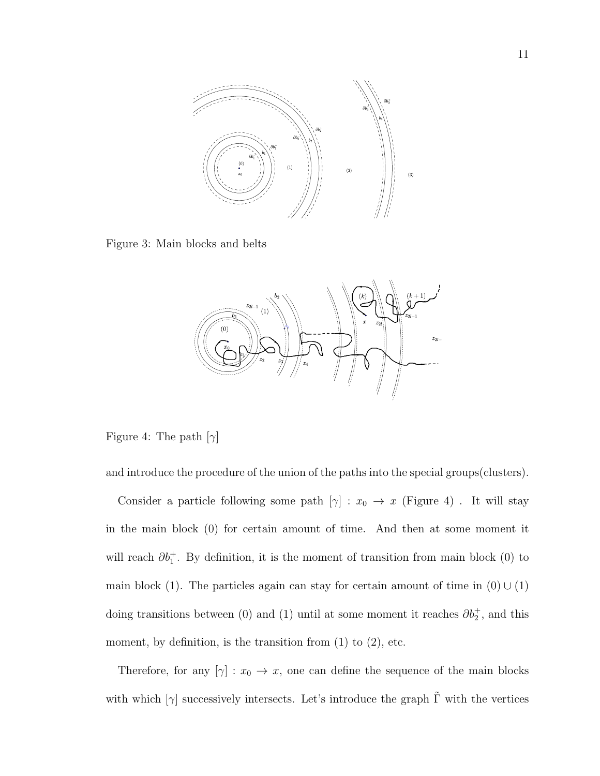

Figure 3: Main blocks and belts



Figure 4: The path  $[\gamma]$ 

and introduce the procedure of the union of the paths into the special groups(clusters).

Consider a particle following some path  $[\gamma] : x_0 \to x$  (Figure 4). It will stay in the main block (0) for certain amount of time. And then at some moment it will reach  $\partial b_1^+$ . By definition, it is the moment of transition from main block (0) to main block (1). The particles again can stay for certain amount of time in  $(0) \cup (1)$ doing transitions between (0) and (1) until at some moment it reaches  $\partial b_2^+$ , and this moment, by definition, is the transition from  $(1)$  to  $(2)$ , etc.

Therefore, for any  $[\gamma] : x_0 \to x$ , one can define the sequence of the main blocks with which  $[\gamma]$  successively intersects. Let's introduce the graph  $\tilde{\Gamma}$  with the vertices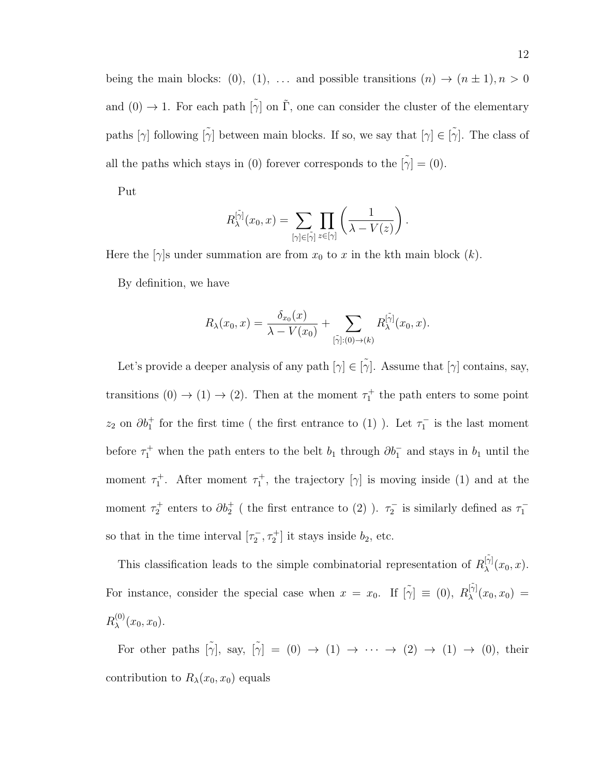being the main blocks: (0), (1), ... and possible transitions  $(n) \to (n \pm 1), n > 0$ and  $(0) \rightarrow 1$ . For each path  $[\tilde{\gamma}]$  on  $\tilde{\Gamma}$ , one can consider the cluster of the elementary paths  $[\gamma]$  following  $[\tilde{\gamma}]$  between main blocks. If so, we say that  $[\gamma] \in [\tilde{\gamma}]$ . The class of all the paths which stays in (0) forever corresponds to the  $[\tilde{\gamma}]=(0).$ 

Put

$$
R_{\lambda}^{[\tilde{\gamma}]}(x_0,x) = \sum_{[\gamma]\in[\tilde{\gamma}]} \prod_{z\in[\gamma]} \left(\frac{1}{\lambda - V(z)}\right).
$$

Here the  $[\gamma]$ s under summation are from  $x_0$  to x in the kth main block  $(k)$ .

By definition, we have

$$
R_{\lambda}(x_0,x) = \frac{\delta_{x_0}(x)}{\lambda - V(x_0)} + \sum_{\lbrack \tilde{\gamma} \rbrack : (0) \to (k)} R_{\lambda}^{\lbrack \tilde{\gamma} \rbrack}(x_0,x).
$$

Let's provide a deeper analysis of any path  $[\gamma] \in [\gamma]$ . Assume that  $[\gamma]$  contains, say, transitions  $(0) \rightarrow (1) \rightarrow (2)$ . Then at the moment  $\tau_1^+$  the path enters to some point  $z_2$  on  $\partial b_1^+$  for the first time ( the first entrance to (1)). Let  $\tau_1^-$  is the last moment before  $\tau_1^+$  when the path enters to the belt  $b_1$  through  $\partial b_1^-$  and stays in  $b_1$  until the moment  $\tau_1^+$ . After moment  $\tau_1^+$ , the trajectory  $[\gamma]$  is moving inside (1) and at the moment  $\tau_2^+$  enters to  $\partial b_2^+$  ( the first entrance to (2)).  $\tau_2^-$  is similarly defined as  $\tau_1^$ so that in the time interval  $[\tau_2^-,\tau_2^+]$  it stays inside  $b_2$ , etc.

This classification leads to the simple combinatorial representation of  $R_{\lambda}^{[\tilde{\gamma}]}$  $\chi^{[\gamma]}(x_0,x).$ For instance, consider the special case when  $x = x_0$ . If  $[\tilde{\gamma}] \equiv (0)$ ,  $R_{\lambda}^{[\tilde{\gamma}]}$  $\lambda^{\gamma_1}(x_0, x_0) =$  $R_\lambda^{(0)}$  $\chi^{(0)}(x_0, x_0)$ .

For other paths  $[\tilde{\gamma}],$  say,  $[\tilde{\gamma}] = (0) \rightarrow (1) \rightarrow \cdots \rightarrow (2) \rightarrow (1) \rightarrow (0)$ , their contribution to  $R_{\lambda}(x_0, x_0)$  equals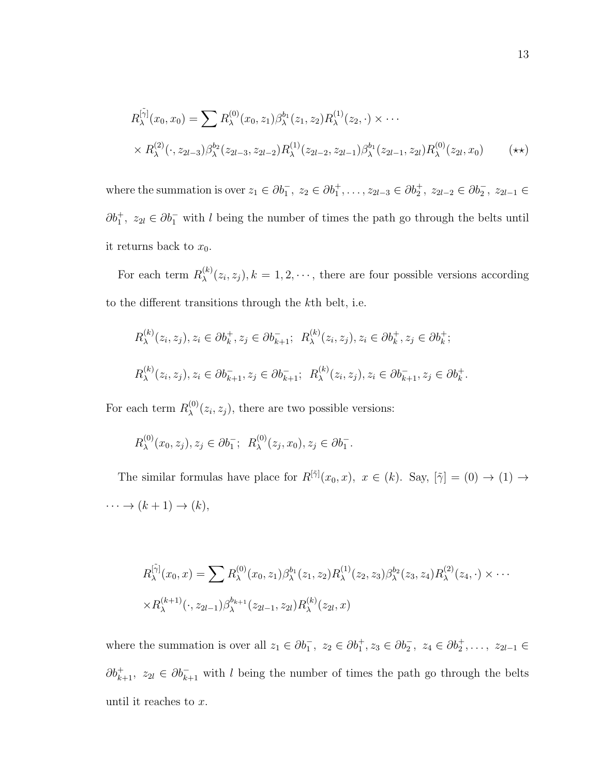$$
R_{\lambda}^{[\tilde{\gamma}]}(x_0, x_0) = \sum R_{\lambda}^{(0)}(x_0, z_1) \beta_{\lambda}^{b_1}(z_1, z_2) R_{\lambda}^{(1)}(z_2, \cdot) \times \cdots
$$
  
 
$$
\times R_{\lambda}^{(2)}(\cdot, z_{2l-3}) \beta_{\lambda}^{b_2}(z_{2l-3}, z_{2l-2}) R_{\lambda}^{(1)}(z_{2l-2}, z_{2l-1}) \beta_{\lambda}^{b_1}(z_{2l-1}, z_{2l}) R_{\lambda}^{(0)}(z_{2l}, x_0) \qquad (\star \star)
$$

where the summation is over  $z_1 \in \partial b_1^-, z_2 \in \partial b_1^+, \ldots, z_{2l-3} \in \partial b_2^+, z_{2l-2} \in \partial b_2^-, z_{2l-1} \in$  $\partial b_1^+, z_{2l} \in \partial b_1^-$  with l being the number of times the path go through the belts until it returns back to  $x_0$ .

For each term  $R_{\lambda}^{(k)}$  $\lambda^{(k)}(z_i, z_j)$ ,  $k = 1, 2, \dots$ , there are four possible versions according to the different transitions through the kth belt, i.e.

$$
R_{\lambda}^{(k)}(z_i, z_j), z_i \in \partial b_k^+, z_j \in \partial b_{k+1}^-, \ R_{\lambda}^{(k)}(z_i, z_j), z_i \in \partial b_k^+, z_j \in \partial b_k^+;
$$
  

$$
R_{\lambda}^{(k)}(z_i, z_j), z_i \in \partial b_{k+1}^-, z_j \in \partial b_{k+1}^-, \ R_{\lambda}^{(k)}(z_i, z_j), z_i \in \partial b_{k+1}^-, z_j \in \partial b_k^+.
$$

For each term  $R_{\lambda}^{(0)}$  $\lambda^{(0)}(z_i, z_j)$ , there are two possible versions:

$$
R_{\lambda}^{(0)}(x_0, z_j), z_j \in \partial b_1^-; R_{\lambda}^{(0)}(z_j, x_0), z_j \in \partial b_1^-.
$$

The similar formulas have place for  $R^{[\tilde{\gamma}]}(x_0, x)$ ,  $x \in (k)$ . Say,  $[\tilde{\gamma}] = (0) \rightarrow (1) \rightarrow$  $\cdots \rightarrow (k+1) \rightarrow (k),$ 

$$
R_{\lambda}^{[\tilde{\gamma}]}(x_0, x) = \sum R_{\lambda}^{(0)}(x_0, z_1) \beta_{\lambda}^{b_1}(z_1, z_2) R_{\lambda}^{(1)}(z_2, z_3) \beta_{\lambda}^{b_2}(z_3, z_4) R_{\lambda}^{(2)}(z_4, \cdot) \times \cdots
$$
  
 
$$
\times R_{\lambda}^{(k+1)}(\cdot, z_{2l-1}) \beta_{\lambda}^{b_{k+1}}(z_{2l-1}, z_{2l}) R_{\lambda}^{(k)}(z_{2l}, x)
$$

where the summation is over all  $z_1 \in \partial b_1^-, z_2 \in \partial b_1^+, z_3 \in \partial b_2^-, z_4 \in \partial b_2^+, \ldots, z_{2l-1} \in$  $\partial b_{k+1}^+$ ,  $z_{2l} \in \partial b_{k+1}^-$  with l being the number of times the path go through the belts until it reaches to x.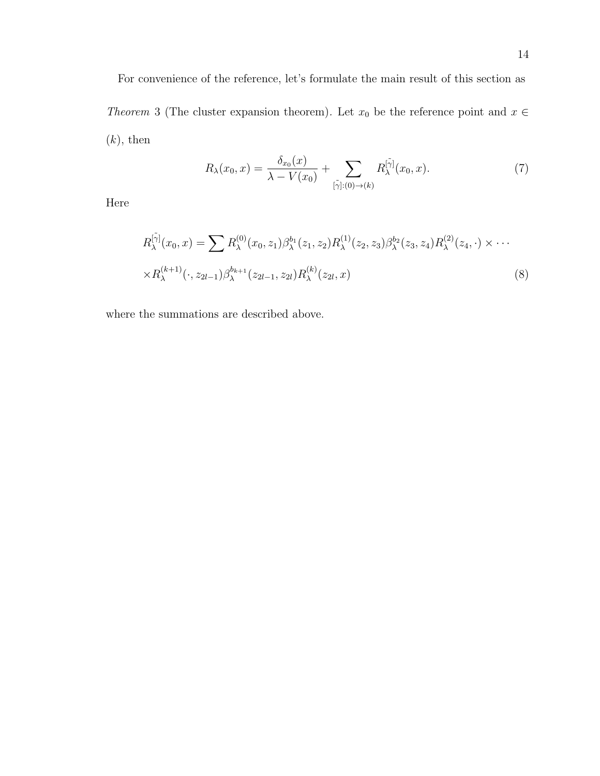For convenience of the reference, let's formulate the main result of this section as Theorem 3 (The cluster expansion theorem). Let  $x_0$  be the reference point and  $x \in$  $(k)$ , then

$$
R_{\lambda}(x_0, x) = \frac{\delta_{x_0}(x)}{\lambda - V(x_0)} + \sum_{[\tilde{\gamma}]: (0) \to (k)} R_{\lambda}^{[\tilde{\gamma}]}(x_0, x). \tag{7}
$$

Here

$$
R_{\lambda}^{[\tilde{\gamma}]}(x_0, x) = \sum R_{\lambda}^{(0)}(x_0, z_1) \beta_{\lambda}^{b_1}(z_1, z_2) R_{\lambda}^{(1)}(z_2, z_3) \beta_{\lambda}^{b_2}(z_3, z_4) R_{\lambda}^{(2)}(z_4, \cdot) \times \cdots
$$
  
 
$$
\times R_{\lambda}^{(k+1)}(\cdot, z_{2l-1}) \beta_{\lambda}^{b_{k+1}}(z_{2l-1}, z_{2l}) R_{\lambda}^{(k)}(z_{2l}, x)
$$
 (8)

where the summations are described above.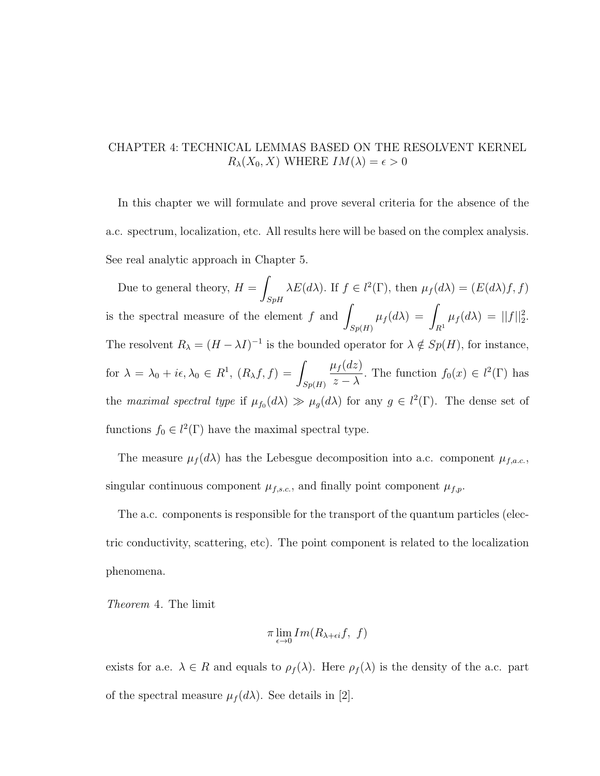## CHAPTER 4: TECHNICAL LEMMAS BASED ON THE RESOLVENT KERNEL  $R_{\lambda}(X_0, X)$  WHERE  $IM(\lambda) = \epsilon > 0$

In this chapter we will formulate and prove several criteria for the absence of the a.c. spectrum, localization, etc. All results here will be based on the complex analysis. See real analytic approach in Chapter 5.

Due to general theory,  $H = \int$ SpH  $\lambda E(d\lambda)$ . If  $f \in l^2(\Gamma)$ , then  $\mu_f(d\lambda) = (E(d\lambda)f, f)$ is the spectral measure of the element  $f$  and  $\overline{\phantom{a}}$  $Sp(H)$  $\mu_f(d\lambda) =$  $R<sup>1</sup>$  $\mu_f(d\lambda) = ||f||_2^2.$ The resolvent  $R_{\lambda} = (H - \lambda I)^{-1}$  is the bounded operator for  $\lambda \notin Sp(H)$ , for instance, for  $\lambda = \lambda_0 + i\epsilon, \lambda_0 \in R^1$ ,  $(R_\lambda f, f) =$  $Sp(H)$  $\mu_f(dz)$  $\frac{df(a)}{z-\lambda}$ . The function  $f_0(x) \in l^2(\Gamma)$  has the maximal spectral type if  $\mu_{f_0}(d\lambda) \gg \mu_g(d\lambda)$  for any  $g \in l^2(\Gamma)$ . The dense set of functions  $f_0 \in l^2(\Gamma)$  have the maximal spectral type.

The measure  $\mu_f(d\lambda)$  has the Lebesgue decomposition into a.c. component  $\mu_{f,a.c.}$ , singular continuous component  $\mu_{f,s.c.}$ , and finally point component  $\mu_{f,p}$ .

The a.c. components is responsible for the transport of the quantum particles (electric conductivity, scattering, etc). The point component is related to the localization phenomena.

Theorem 4. The limit

$$
\pi \lim_{\epsilon \to 0} Im(R_{\lambda + \epsilon i} f, f)
$$

exists for a.e.  $\lambda \in R$  and equals to  $\rho_f(\lambda)$ . Here  $\rho_f(\lambda)$  is the density of the a.c. part of the spectral measure  $\mu_f(d\lambda)$ . See details in [2].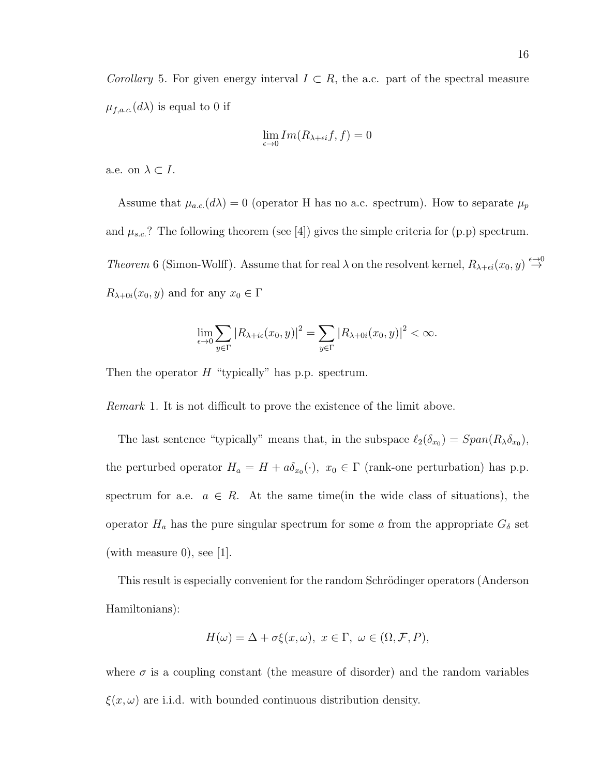Corollary 5. For given energy interval  $I \subset R$ , the a.c. part of the spectral measure  $\mu_{f,a.c.}(d\lambda)$  is equal to 0 if

$$
\lim_{\epsilon \to 0} Im(R_{\lambda+\epsilon i}f,f)=0
$$

a.e. on  $\lambda \subset I$ .

Assume that  $\mu_{a.c.}(d\lambda) = 0$  (operator H has no a.c. spectrum). How to separate  $\mu_p$ and  $\mu_{s.c.}$ ? The following theorem (see [4]) gives the simple criteria for (p.p) spectrum. Theorem 6 (Simon-Wolff). Assume that for real  $\lambda$  on the resolvent kernel,  $R_{\lambda+\epsilon i}(x_0, y) \stackrel{\epsilon \to 0}{\to}$  $R_{\lambda+0i}(x_0, y)$  and for any  $x_0 \in \Gamma$ 

$$
\lim_{\epsilon \to 0} \sum_{y \in \Gamma} |R_{\lambda + i\epsilon}(x_0, y)|^2 = \sum_{y \in \Gamma} |R_{\lambda + 0i}(x_0, y)|^2 < \infty.
$$

Then the operator  $H$  "typically" has p.p. spectrum.

Remark 1. It is not difficult to prove the existence of the limit above.

The last sentence "typically" means that, in the subspace  $\ell_2(\delta_{x_0}) = Span(R_{\lambda} \delta_{x_0}),$ the perturbed operator  $H_a = H + a\delta_{x_0}(\cdot), x_0 \in \Gamma$  (rank-one perturbation) has p.p. spectrum for a.e.  $a \in R$ . At the same time(in the wide class of situations), the operator  $H_a$  has the pure singular spectrum for some a from the appropriate  $G_\delta$  set (with measure 0), see [1].

This result is especially convenient for the random Schrödinger operators (Anderson Hamiltonians):

$$
H(\omega) = \Delta + \sigma \xi(x, \omega), \ x \in \Gamma, \ \omega \in (\Omega, \mathcal{F}, P),
$$

where  $\sigma$  is a coupling constant (the measure of disorder) and the random variables  $\xi(x,\omega)$  are i.i.d. with bounded continuous distribution density.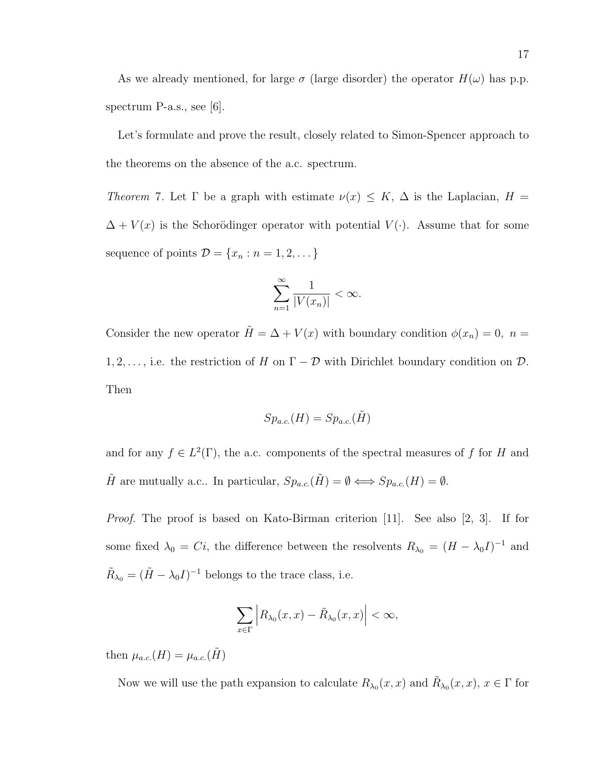As we already mentioned, for large  $\sigma$  (large disorder) the operator  $H(\omega)$  has p.p. spectrum P-a.s., see [6].

Let's formulate and prove the result, closely related to Simon-Spencer approach to the theorems on the absence of the a.c. spectrum.

Theorem 7. Let  $\Gamma$  be a graph with estimate  $\nu(x) \leq K$ ,  $\Delta$  is the Laplacian,  $H =$  $\Delta + V(x)$  is the Schorödinger operator with potential  $V(\cdot)$ . Assume that for some sequence of points  $\mathcal{D} = \{x_n : n = 1, 2, \dots\}$ 

$$
\sum_{n=1}^{\infty} \frac{1}{|V(x_n)|} < \infty.
$$

Consider the new operator  $\tilde{H} = \Delta + V(x)$  with boundary condition  $\phi(x_n) = 0$ ,  $n =$ 1, 2, ..., i.e. the restriction of H on  $\Gamma - \mathcal{D}$  with Dirichlet boundary condition on  $\mathcal{D}$ . Then

$$
Sp_{a.c.}(H) = Sp_{a.c.}(\tilde{H})
$$

and for any  $f \in L^2(\Gamma)$ , the a.c. components of the spectral measures of f for H and  $\tilde{H}$  are mutually a.c.. In particular,  $Sp_{a.c.}(\tilde{H}) = \emptyset \Longleftrightarrow Sp_{a.c.}(H) = \emptyset$ .

Proof. The proof is based on Kato-Birman criterion [11]. See also [2, 3]. If for some fixed  $\lambda_0 = Ci$ , the difference between the resolvents  $R_{\lambda_0} = (H - \lambda_0 I)^{-1}$  and  $\tilde{R}_{\lambda_0} = (\tilde{H} - \lambda_0 I)^{-1}$  belongs to the trace class, i.e.

$$
\sum_{x\in\Gamma}\Big|R_{\lambda_0}(x,x)-\tilde{R}_{\lambda_0}(x,x)\Big|<\infty,
$$

then  $\mu_{a.c.}(H) = \mu_{a.c.}(\tilde{H})$ 

Now we will use the path expansion to calculate  $R_{\lambda_0}(x, x)$  and  $\tilde{R}_{\lambda_0}(x, x)$ ,  $x \in \Gamma$  for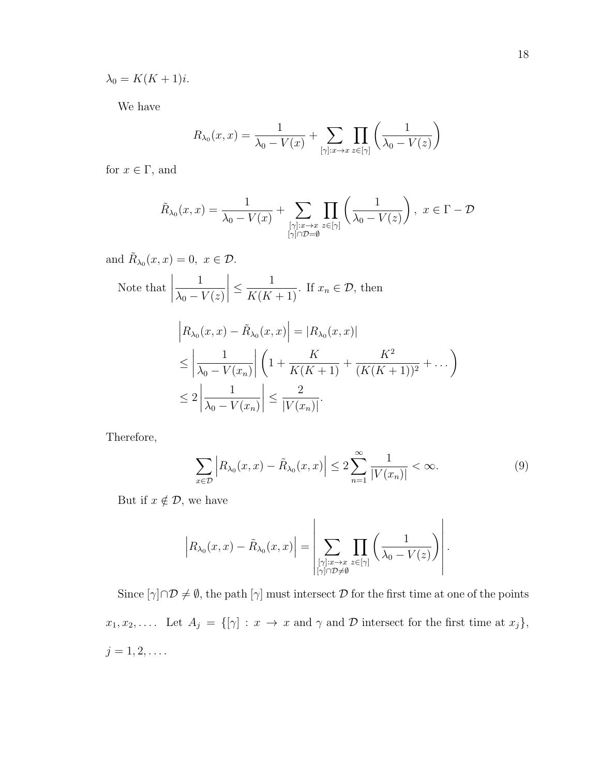$\lambda_0 = K(K+1)i.$ 

We have

$$
R_{\lambda_0}(x,x) = \frac{1}{\lambda_0 - V(x)} + \sum_{[\gamma]:x \to x} \prod_{z \in [\gamma]} \left( \frac{1}{\lambda_0 - V(z)} \right)
$$

for  $x\in\Gamma,$  and

$$
\tilde{R}_{\lambda_0}(x,x) = \frac{1}{\lambda_0 - V(x)} + \sum_{\substack{[\gamma]:x \to x \\ [\gamma] \cap \mathcal{D} = \emptyset}} \prod_{z \in [\gamma]} \left( \frac{1}{\lambda_0 - V(z)} \right), \ x \in \Gamma - \mathcal{D}
$$

and 
$$
R_{\lambda_0}(x, x) = 0, x \in \mathcal{D}
$$
.  
\nNote that  $\left| \frac{1}{\lambda_0 - V(z)} \right| \le \frac{1}{K(K+1)}$ . If  $x_n \in \mathcal{D}$ , then  
\n
$$
\left| R_{\lambda_0}(x, x) - \tilde{R}_{\lambda_0}(x, x) \right| = |R_{\lambda_0}(x, x)|
$$
\n
$$
\le \left| \frac{1}{\lambda_0 - V(x_n)} \right| \left( 1 + \frac{K}{K(K+1)} + \frac{K^2}{(K(K+1))^2} + \dots \right)
$$
\n
$$
\le 2 \left| \frac{1}{\lambda_0 - V(x_n)} \right| \le \frac{2}{|V(x_n)|}.
$$

Therefore,

$$
\sum_{x \in \mathcal{D}} \left| R_{\lambda_0}(x, x) - \tilde{R}_{\lambda_0}(x, x) \right| \le 2 \sum_{n=1}^{\infty} \frac{1}{|V(x_n)|} < \infty. \tag{9}
$$

But if  $x \notin \mathcal{D}$ , we have

$$
\left|R_{\lambda_0}(x,x)-\tilde{R}_{\lambda_0}(x,x)\right|=\left|\sum_{\substack{[\gamma]:x\to x\\ [\gamma]\cap\mathcal{D}\neq\emptyset}}\prod_{z\in[\gamma]}\left(\frac{1}{\lambda_0-V(z)}\right)\right|.
$$

Since  $[\gamma] \cap \mathcal{D} \neq \emptyset$ , the path  $[\gamma]$  must intersect  $\mathcal D$  for the first time at one of the points  $x_1, x_2, \ldots$  Let  $A_j = \{[\gamma] : x \to x \text{ and } \gamma \text{ and } \mathcal{D} \text{ intersect for the first time at } x_j\},\$  $j = 1, 2, \ldots$ .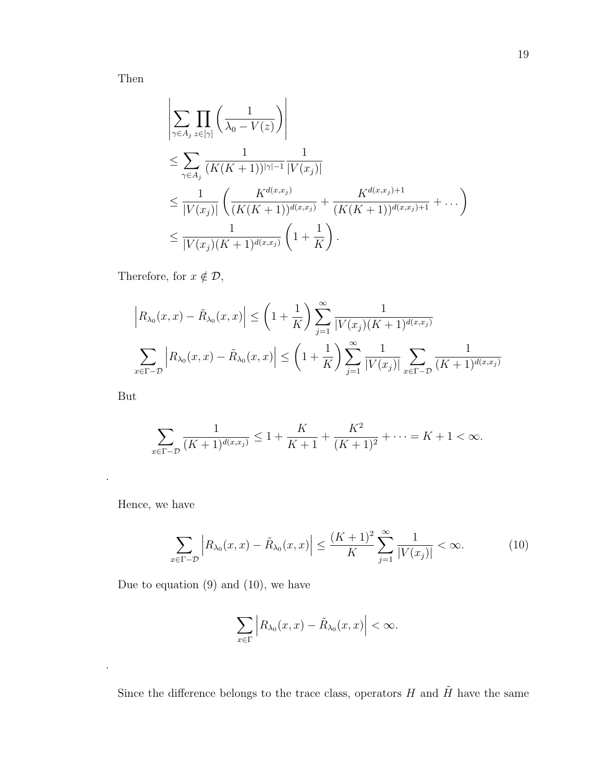Then

$$
\left| \sum_{\gamma \in A_j} \prod_{z \in [\gamma]} \left( \frac{1}{\lambda_0 - V(z)} \right) \right|
$$
  
\n
$$
\leq \sum_{\gamma \in A_j} \frac{1}{(K(K+1))^{|\gamma|-1}} \frac{1}{|V(x_j)|}
$$
  
\n
$$
\leq \frac{1}{|V(x_j)|} \left( \frac{K^{d(x,x_j)}}{(K(K+1))^{d(x,x_j)}} + \frac{K^{d(x,x_j)+1}}{(K(K+1))^{d(x,x_j)+1}} + \dots \right)
$$
  
\n
$$
\leq \frac{1}{|V(x_j)(K+1)^{d(x,x_j)}} \left( 1 + \frac{1}{K} \right).
$$

Therefore, for  $x \notin \mathcal{D}$ ,

$$
\left| R_{\lambda_0}(x, x) - \tilde{R}_{\lambda_0}(x, x) \right| \le \left( 1 + \frac{1}{K} \right) \sum_{j=1}^{\infty} \frac{1}{|V(x_j)(K+1)^{d(x, x_j)}} \n\sum_{x \in \Gamma - \mathcal{D}} \left| R_{\lambda_0}(x, x) - \tilde{R}_{\lambda_0}(x, x) \right| \le \left( 1 + \frac{1}{K} \right) \sum_{j=1}^{\infty} \frac{1}{|V(x_j)|} \sum_{x \in \Gamma - \mathcal{D}} \frac{1}{(K+1)^{d(x, x_j)}}
$$

But

.

.

$$
\sum_{x \in \Gamma - \mathcal{D}} \frac{1}{(K+1)^{d(x,x_j)}} \le 1 + \frac{K}{K+1} + \frac{K^2}{(K+1)^2} + \dots = K+1 < \infty.
$$

Hence, we have

$$
\sum_{x \in \Gamma - \mathcal{D}} \left| R_{\lambda_0}(x, x) - \tilde{R}_{\lambda_0}(x, x) \right| \le \frac{(K+1)^2}{K} \sum_{j=1}^{\infty} \frac{1}{|V(x_j)|} < \infty. \tag{10}
$$

Due to equation (9) and (10), we have

$$
\sum_{x\in\Gamma}\Big|R_{\lambda_0}(x,x)-\tilde{R}_{\lambda_0}(x,x)\Big|<\infty.
$$

Since the difference belongs to the trace class, operators  $H$  and  $\tilde{H}$  have the same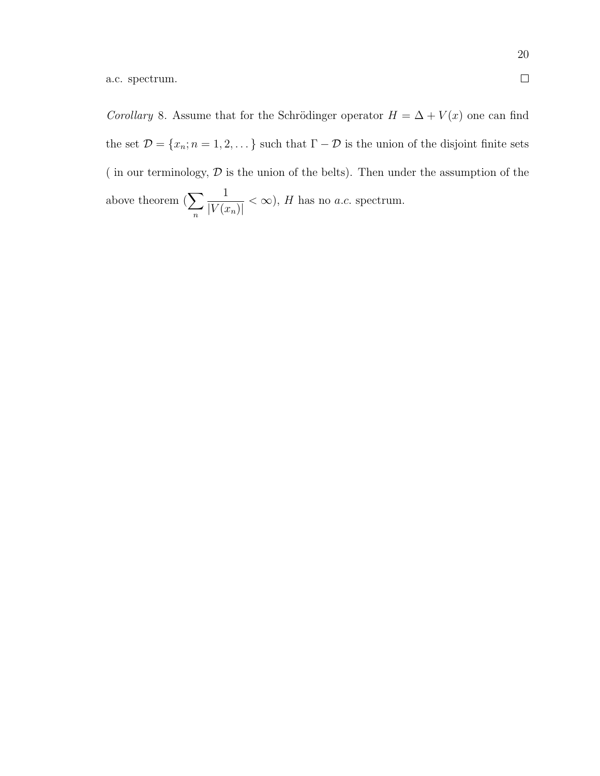Corollary 8. Assume that for the Schrödinger operator  $H = \Delta + V(x)$  one can find the set  $\mathcal{D} = \{x_n; n = 1, 2, \dots\}$  such that  $\Gamma - \mathcal{D}$  is the union of the disjoint finite sets ( in our terminology,  $D$  is the union of the belts). Then under the assumption of the above theorem  $(\sum)$ n 1  $|V(x_n)|$  $< \infty$ ), H has no *a.c.* spectrum.

 $\Box$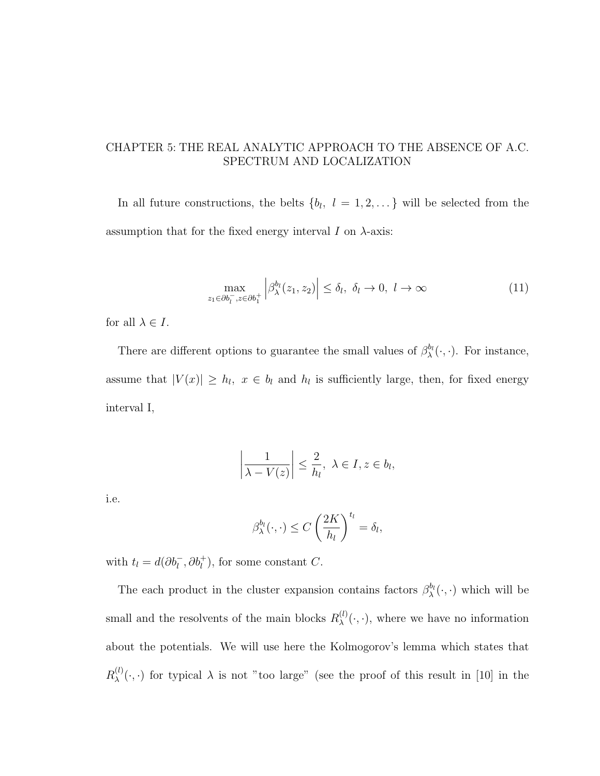## CHAPTER 5: THE REAL ANALYTIC APPROACH TO THE ABSENCE OF A.C. SPECTRUM AND LOCALIZATION

In all future constructions, the belts  $\{b_l, l = 1, 2, \dots\}$  will be selected from the assumption that for the fixed energy interval  $I$  on  $\lambda$ -axis:

$$
\max_{z_1 \in \partial b_l^-, z \in \partial b_l^+} \left| \beta_{\lambda}^{b_l}(z_1, z_2) \right| \le \delta_l, \ \delta_l \to 0, \ l \to \infty \tag{11}
$$

for all  $\lambda \in I$ .

There are different options to guarantee the small values of  $\beta_{\lambda}^{b_l}(\cdot,\cdot)$ . For instance, assume that  $|V(x)| \ge h_l$ ,  $x \in b_l$  and  $h_l$  is sufficiently large, then, for fixed energy interval I,

$$
\left|\frac{1}{\lambda - V(z)}\right| \leq \frac{2}{h_l}, \ \lambda \in I, z \in b_l,
$$

i.e.

$$
\beta_{\lambda}^{b_l}(\cdot,\cdot) \le C\left(\frac{2K}{h_l}\right)^{t_l} = \delta_l,
$$

with  $t_l = d(\partial b_l^{-}, \partial b_l^{+})$ , for some constant C.

The each product in the cluster expansion contains factors  $\beta_{\lambda}^{b_l}(\cdot, \cdot)$  which will be small and the resolvents of the main blocks  $R_{\lambda}^{(l)}$  $\chi^{(l)}(\cdot,\cdot)$ , where we have no information about the potentials. We will use here the Kolmogorov's lemma which states that  $R_\lambda^{(l)}$  $\lambda^{(l)}(\cdot,\cdot)$  for typical  $\lambda$  is not "too large" (see the proof of this result in [10] in the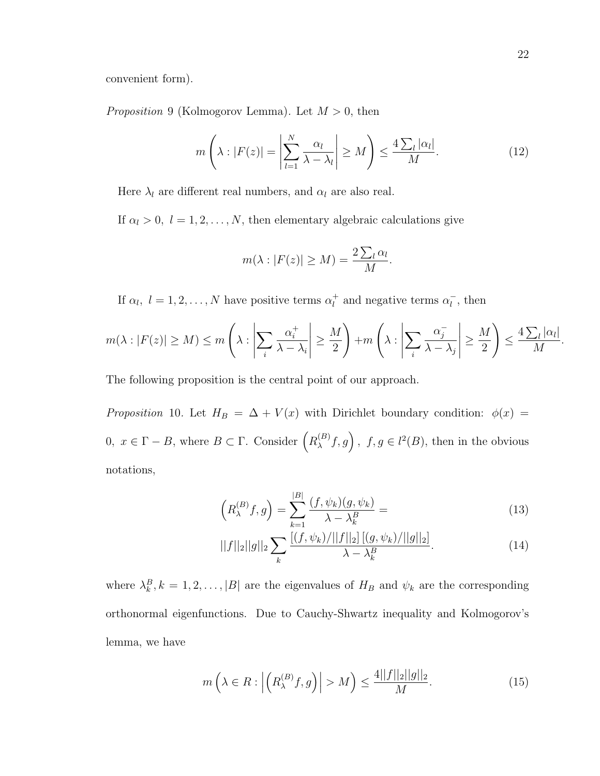convenient form).

*Proposition* 9 (Kolmogorov Lemma). Let  $M > 0$ , then

$$
m\left(\lambda : |F(z)| = \left|\sum_{l=1}^{N} \frac{\alpha_l}{\lambda - \lambda_l}\right| \ge M\right) \le \frac{4\sum_l |\alpha_l|}{M}.\tag{12}
$$

Here  $\lambda_l$  are different real numbers, and  $\alpha_l$  are also real.

If  $\alpha_l > 0$ ,  $l = 1, 2, ..., N$ , then elementary algebraic calculations give

$$
m(\lambda : |F(z)| \ge M) = \frac{2\sum_{l} \alpha_l}{M}.
$$

If  $\alpha_l, l = 1, 2, ..., N$  have positive terms  $\alpha_l^+$  $_l^+$  and negative terms  $\alpha_l^ \overline{l}$ , then

$$
m(\lambda : |F(z)| \ge M) \le m\left(\lambda : \left|\sum_{i} \frac{\alpha_i^+}{\lambda - \lambda_i}\right| \ge \frac{M}{2}\right) + m\left(\lambda : \left|\sum_{i} \frac{\alpha_i^-}{\lambda - \lambda_j}\right| \ge \frac{M}{2}\right) \le \frac{4\sum_{l} |\alpha_l|}{M}
$$

The following proposition is the central point of our approach.

Proposition 10. Let  $H_B = \Delta + V(x)$  with Dirichlet boundary condition:  $\phi(x) =$ 0,  $x \in Γ - B$ , where  $B \subset Γ$ . Consider  $(R_λ^{(B)})$  $f_{\lambda}(B)$ ,  $f, g \in l^2(B)$ , then in the obvious notations,

$$
\left(R_{\lambda}^{(B)}f,g\right) = \sum_{k=1}^{|B|} \frac{(f,\psi_k)(g,\psi_k)}{\lambda - \lambda_k^B} = \tag{13}
$$

$$
||f||_2||g||_2 \sum_{k} \frac{\left[ (f, \psi_k) / ||f||_2 \right] \left[ (g, \psi_k) / ||g||_2 \right]}{\lambda - \lambda_k^B}.
$$
 (14)

where  $\lambda_k^B$ ,  $k = 1, 2, ..., |B|$  are the eigenvalues of  $H_B$  and  $\psi_k$  are the corresponding orthonormal eigenfunctions. Due to Cauchy-Shwartz inequality and Kolmogorov's lemma, we have

$$
m\left(\lambda \in R : \left| \left( R_{\lambda}^{(B)}f, g \right) \right| > M \right) \le \frac{4||f||_2||g||_2}{M}.\tag{15}
$$

.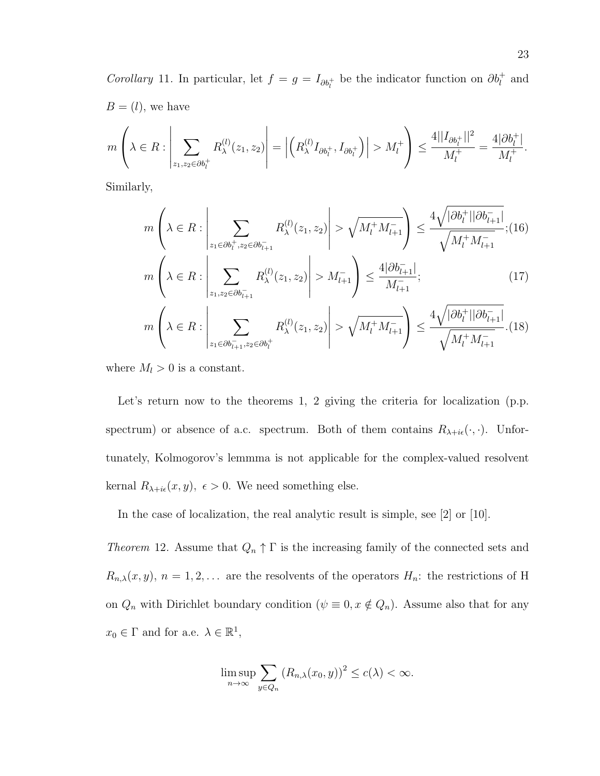Corollary 11. In particular, let  $f = g = I_{\partial b_l^+}$  be the indicator function on  $\partial b_l^+$  and  $B = (l)$ , we have

$$
m\left(\lambda \in R: \left|\sum_{z_1, z_2 \in \partial b_l^+} R_{\lambda}^{(l)}(z_1, z_2)\right| = \left|\left(R_{\lambda}^{(l)} I_{\partial b_l^+}, I_{\partial b_l^+}\right)\right| > M_l^+\right) \le \frac{4||I_{\partial b_l^+}||^2}{M_l^+} = \frac{4|\partial b_l^+|}{M_l^+}.
$$

Similarly,

$$
m\left(\lambda \in R : \left|\sum_{z_1 \in \partial b_l^+, z_2 \in \partial b_{l+1}^-} R_{\lambda}^{(l)}(z_1, z_2)\right| > \sqrt{M_l^+ M_{l+1}^-}\right) \le \frac{4\sqrt{|\partial b_l^+||\partial b_{l+1}^-|}}{\sqrt{M_l^+ M_{l+1}^-}}; (16)
$$
  

$$
m\left(\lambda \in R : \left|\sum_{z_1, z_2 \in \partial b_{l+1}^-} R_{\lambda}^{(l)}(z_1, z_2)\right| > M_{l+1}^- \right) \le \frac{4|\partial b_{l+1}^-|}{M_{l+1}^-};
$$
  

$$
m\left(\lambda \in R : \left|\sum_{z_1 \in \partial b_{l+1}^-, z_2 \in \partial b_l^+} R_{\lambda}^{(l)}(z_1, z_2)\right| > \sqrt{M_l^+ M_{l+1}^-}\right) \le \frac{4\sqrt{|\partial b_l^+||\partial b_{l+1}^-|}}{\sqrt{M_l^+ M_{l+1}^-}}. (18)
$$

where  $M_l > 0$  is a constant.

Let's return now to the theorems 1, 2 giving the criteria for localization (p.p. spectrum) or absence of a.c. spectrum. Both of them contains  $R_{\lambda + i\epsilon}(\cdot, \cdot)$ . Unfortunately, Kolmogorov's lemmma is not applicable for the complex-valued resolvent kernal  $R_{\lambda + i\epsilon}(x, y)$ ,  $\epsilon > 0$ . We need something else.

In the case of localization, the real analytic result is simple, see [2] or [10].

Theorem 12. Assume that  $Q_n \uparrow \Gamma$  is the increasing family of the connected sets and  $R_{n,\lambda}(x, y), n = 1, 2, \ldots$  are the resolvents of the operators  $H_n$ : the restrictions of H on  $Q_n$  with Dirichlet boundary condition  $(\psi \equiv 0, x \notin Q_n)$ . Assume also that for any  $x_0 \in \Gamma$  and for a.e.  $\lambda \in \mathbb{R}^1$ ,

$$
\limsup_{n\to\infty}\sum_{y\in Q_n}\left(R_{n,\lambda}(x_0,y)\right)^2\leq c(\lambda)<\infty.
$$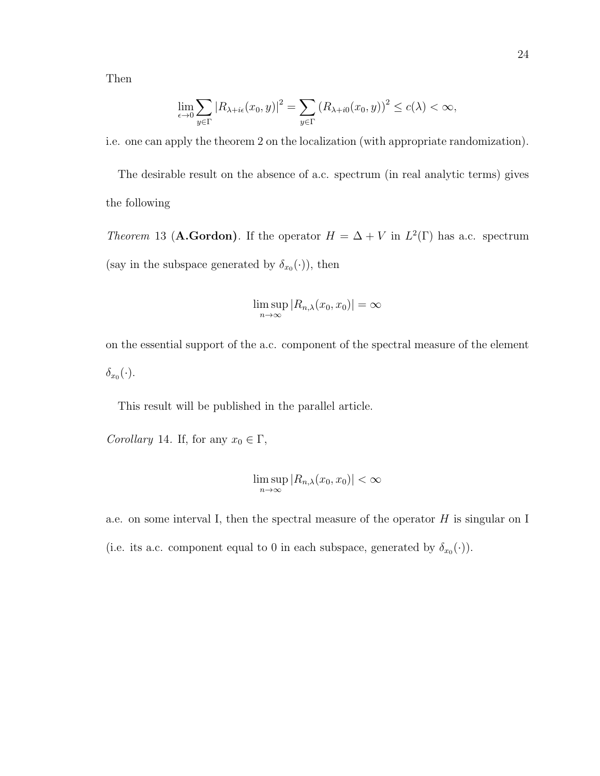Then

$$
\lim_{\epsilon \to 0} \sum_{y \in \Gamma} |R_{\lambda + i\epsilon}(x_0, y)|^2 = \sum_{y \in \Gamma} (R_{\lambda + i0}(x_0, y))^2 \le c(\lambda) < \infty,
$$

i.e. one can apply the theorem 2 on the localization (with appropriate randomization).

The desirable result on the absence of a.c. spectrum (in real analytic terms) gives the following

*Theorem* 13 (**A.Gordon**). If the operator  $H = \Delta + V$  in  $L^2(\Gamma)$  has a.c. spectrum (say in the subspace generated by  $\delta_{x_0}(\cdot)$ ), then

$$
\limsup_{n\to\infty} |R_{n,\lambda}(x_0,x_0)| = \infty
$$

on the essential support of the a.c. component of the spectral measure of the element  $\delta_{x_0}(\cdot).$ 

This result will be published in the parallel article.

Corollary 14. If, for any  $x_0 \in \Gamma$ ,

$$
\limsup_{n\to\infty} |R_{n,\lambda}(x_0,x_0)| < \infty
$$

a.e. on some interval I, then the spectral measure of the operator  $H$  is singular on I (i.e. its a.c. component equal to 0 in each subspace, generated by  $\delta_{x_0}(\cdot)$ ).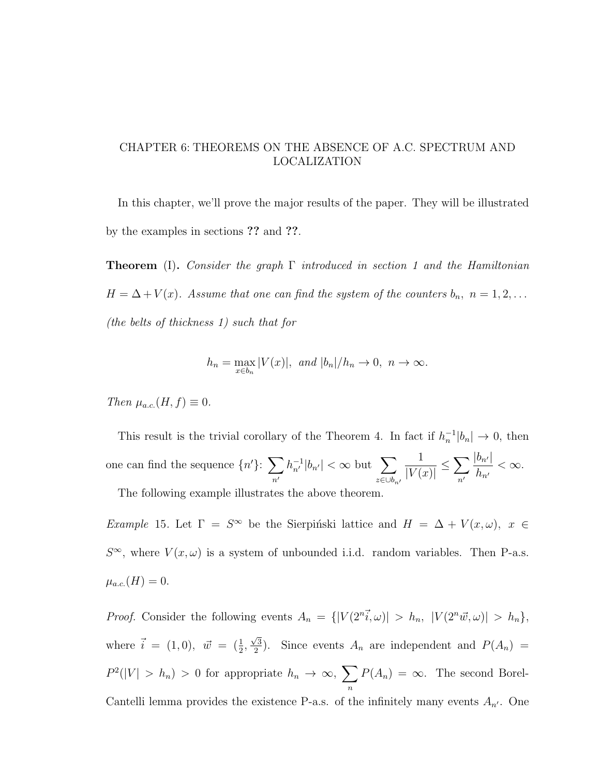## CHAPTER 6: THEOREMS ON THE ABSENCE OF A.C. SPECTRUM AND LOCALIZATION

In this chapter, we'll prove the major results of the paper. They will be illustrated by the examples in sections ?? and ??.

**Theorem** (I). Consider the graph  $\Gamma$  introduced in section 1 and the Hamiltonian  $H = \Delta + V(x)$ . Assume that one can find the system of the counters  $b_n$ ,  $n = 1, 2, ...$ (the belts of thickness 1) such that for

$$
h_n = \max_{x \in b_n} |V(x)|, \text{ and } |b_n|/h_n \to 0, n \to \infty.
$$

Then  $\mu_{a.c.}(H, f) \equiv 0$ .

This result is the trivial corollary of the Theorem 4. In fact if  $h_n^{-1}|b_n| \to 0$ , then one can find the sequence  $\{n'\}$ :  $\sum$  $n<sub>1</sub>$  $|h_{n'}^{-1}|b_{n'}| < \infty$  but  $\sum$  $z ∈ ∪b_n$ 1  $|V(x)|$  $\leq$   $\sum$  $n<sup>′</sup>$  $|b_{n'}|$  $h_{n'}$  $< \infty$ .

The following example illustrates the above theorem.

Example 15. Let  $\Gamma = S^{\infty}$  be the Sierpinski lattice and  $H = \Delta + V(x, \omega)$ ,  $x \in$  $S^{\infty}$ , where  $V(x,\omega)$  is a system of unbounded i.i.d. random variables. Then P-a.s.  $\mu_{a.c.}(H) = 0.$ 

*Proof.* Consider the following events  $A_n = \{ |V(2^n\vec{i}, \omega)| > h_n, |V(2^n\vec{w}, \omega)| > h_n \},\$ where  $\vec{i} = (1,0), \ \vec{w} = (\frac{1}{2},$  $\sqrt{3}$  $\frac{\sqrt{3}}{2}$ ). Since events  $A_n$  are independent and  $P(A_n)$  =  $P^2(|V| > h_n) > 0$  for appropriate  $h_n \to \infty$ ,  $\sum$ n  $P(A_n) = \infty$ . The second Borel-Cantelli lemma provides the existence P-a.s. of the infinitely many events  $A_{n'}$ . One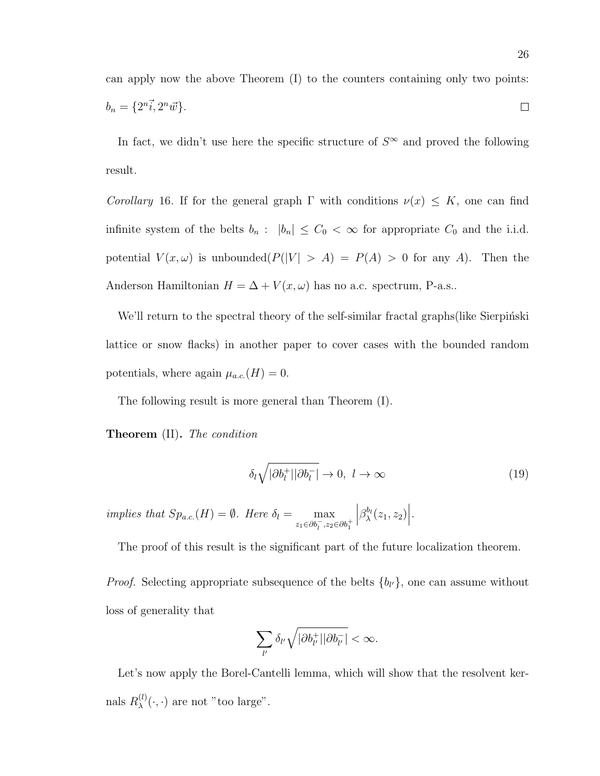can apply now the above Theorem (I) to the counters containing only two points:  $b_n = \{2^n\vec{i}, 2^n\vec{w}\}.$  $\Box$ 

In fact, we didn't use here the specific structure of  $S^{\infty}$  and proved the following result.

Corollary 16. If for the general graph  $\Gamma$  with conditions  $\nu(x) \leq K$ , one can find infinite system of the belts  $b_n$ :  $|b_n| \leq C_0 < \infty$  for appropriate  $C_0$  and the i.i.d. potential  $V(x, \omega)$  is unbounded $(P(|V| > A) = P(A) > 0$  for any A). Then the Anderson Hamiltonian  $H = \Delta + V(x, \omega)$  has no a.c. spectrum, P-a.s..

We'll return to the spectral theory of the self-similar fractal graphs (like Sierpinski lattice or snow flacks) in another paper to cover cases with the bounded random potentials, where again  $\mu_{a.c.}(H) = 0$ .

The following result is more general than Theorem (I).

Theorem (II). The condition

$$
\delta_l \sqrt{|\partial b_l^+||\partial b_l^-|} \to 0, \ l \to \infty \tag{19}
$$

implies that  $Sp_{a.c.}(H) = \emptyset$ . Here  $\delta_l = \max$  $z_1 \in \partial b_1^-, z_2 \in \partial b_1^+$  $\Big|\beta_\lambda^{b_l}(z_1,z_2)\Big|.$ 

The proof of this result is the significant part of the future localization theorem.

*Proof.* Selecting appropriate subsequence of the belts  $\{b_{l'}\}$ , one can assume without loss of generality that

$$
\sum_{l'}\delta_{l'}\sqrt{|\partial b_{l'}^+||\partial b_{l'}^-|}<\infty.
$$

Let's now apply the Borel-Cantelli lemma, which will show that the resolvent kernals  $R_\lambda^{(l)}$  $\lambda^{(l)}(\cdot,\cdot)$  are not "too large".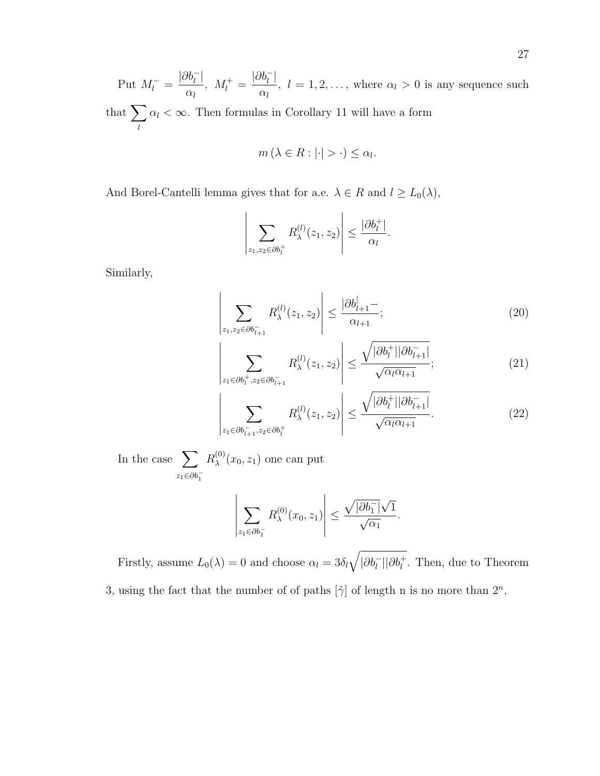Put  $M_l^-$  =  $|\partial b_l^-|$  $\alpha_l$  $, M_l^+ =$  $|\partial b_l^-|$  $\alpha_l$ ,  $l = 1, 2, \ldots$ , where  $\alpha_l > 0$  is any sequence such that  $\sum$ l  $\alpha_l < \infty$ . Then formulas in Corollary 11 will have a form

$$
m\left(\lambda \in R : |\cdot| > \cdot\right) \le \alpha_l.
$$

And Borel-Cantelli lemma gives that for a.e.  $\lambda \in R$  and  $l \ge L_0(\lambda)$ ,

$$
\left|\sum_{z_1,z_2\in\partial b_l^+} R_\lambda^{(l)}(z_1,z_2)\right| \leq \frac{|\partial b_l^+|}{\alpha_l}.
$$

Similarly,

$$
\left| \sum_{z_1, z_2 \in \partial b_{l+1}^-} R_{\lambda}^{(l)}(z_1, z_2) \right| \le \frac{|\partial b_{l+1}^|}{\alpha_{l+1}};
$$
\n(20)

$$
\left| \sum_{z_1 \in \partial b_l^+, z_2 \in \partial b_{l+1}^-} R_{\lambda}^{(l)}(z_1, z_2) \right| \le \frac{\sqrt{|\partial b_l^+| |\partial b_{l+1}^-|}}{\sqrt{\alpha_l \alpha_{l+1}}};\tag{21}
$$

$$
\left| \sum_{z_1 \in \partial b_{l+1}^-, z_2 \in \partial b_l^+} R_{\lambda}^{(l)}(z_1, z_2) \right| \le \frac{\sqrt{|\partial b_l^+| |\partial b_{l+1}^-|}}{\sqrt{\alpha_l \alpha_{l+1}}}.
$$
\n(22)

.

In the case  $\sum$  $z_1 \in \partial b_1^ R_\lambda^{(0)}$  $\chi^{(0)}(x_0, z_1)$  one can put

 $\bigg\}$  $\begin{array}{c} \end{array}$  $\overline{\phantom{a}}$ 

$$
\left|\sum_{z_1 \in \partial b_1^-} R_\lambda^{(0)}(x_0, z_1)\right| \le \frac{\sqrt{|\partial b_1^-|} \sqrt{1}}{\sqrt{\alpha_1}}
$$

Firstly, assume  $L_0(\lambda) = 0$  and choose  $\alpha_l = 3\delta_l \sqrt{|\partial b_l^-| |\partial b_l^+|}$ . Then, due to Theorem 3, using the fact that the number of of paths  $[\tilde{\gamma}]$  of length n is no more than  $2^n$ ,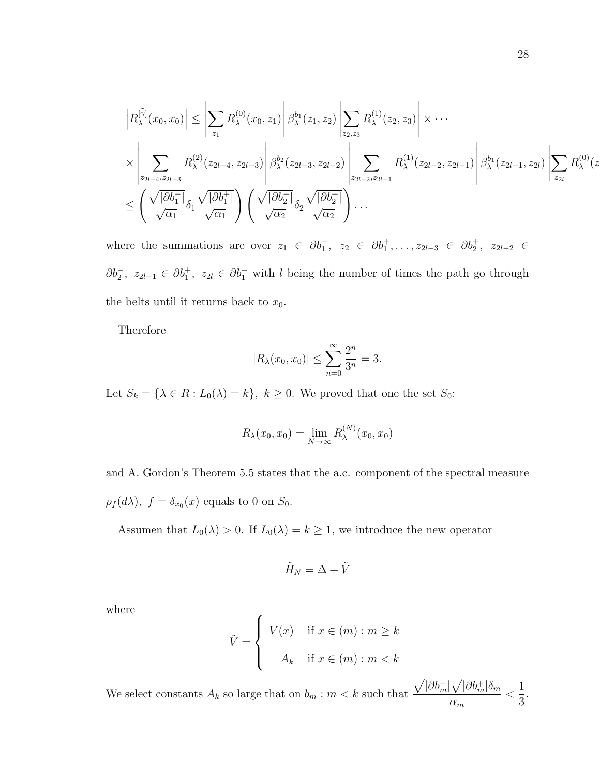$$
\left| R_{\lambda}^{[\tilde{\gamma}]}(x_0, x_0) \right| \leq \left| \sum_{z_1} R_{\lambda}^{(0)}(x_0, z_1) \right| \beta_{\lambda}^{b_1}(z_1, z_2) \left| \sum_{z_2, z_3} R_{\lambda}^{(1)}(z_2, z_3) \right| \times \cdots
$$
  

$$
\times \left| \sum_{z_{2l-4}, z_{2l-3}} R_{\lambda}^{(2)}(z_{2l-4}, z_{2l-3}) \right| \beta_{\lambda}^{b_2}(z_{2l-3}, z_{2l-2}) \left| \sum_{z_{2l-2}, z_{2l-1}} R_{\lambda}^{(1)}(z_{2l-2}, z_{2l-1}) \right| \beta_{\lambda}^{b_1}(z_{2l-1}, z_{2l}) \left| \sum_{z_{2l}} R_{\lambda}^{(0)}(z_{2l-1}, z_{2l}) \right| \geq R_{\lambda}^{(0)}(z_{2l-1}, z_{2l}) \left| \sum_{z_{2l}} R_{\lambda}^{(1)}(z_{2l-1}, z_{2l}) \right| \geq R_{\lambda}^{(0)}(z_{2l-1}, z_{2l}) \left| \sum_{z_{2l}} R_{\lambda}^{(0)}(z_{2l-1}, z_{2l}) \right| \geq R_{\lambda}^{(0)}(z_{2l-1}, z_{2l}) \left| \sum_{z_{2l}} R_{\lambda}^{(1)}(z_{2l-2}, z_{2l-1}) \right| \geq R_{\lambda}^{(0)}(z_{2l-1}, z_{2l}) \left| \sum_{z_{2l}} R_{\lambda}^{(0)}(z_{2l-1}, z_{2l}) \right| \geq R_{\lambda}^{(0)}(z_{2l-1}, z_{2l}) \left| \sum_{z_{2l}} R_{\lambda}^{(1)}(z_{2l-2}, z_{2l-1}) \right| \geq R_{\lambda}^{(0)}(z_{2l-1}, z_{2l}) \left| \sum_{z_{2l}} R_{\lambda}^{(0)}(z_{2l-1}, z_{2l}) \right| \geq R_{\lambda}^{(0)}(z_{2l-1}, z_{2l}) \left| \sum_{z_{2l}} R_{\lambda}^{(1)}(z_{2l-2}, z_{2l-1}) \right| \geq R_{\lambda}^{(0)}(z_{2l
$$

where the summations are over  $z_1 \in \partial b_1^-, z_2 \in \partial b_1^+, \ldots, z_{2l-3} \in \partial b_2^+, z_{2l-2} \in$  $\partial b_2^-$ ,  $z_{2l-1} \in \partial b_1^+$ ,  $z_{2l} \in \partial b_1^-$  with l being the number of times the path go through the belts until it returns back to  $x_0$ .

Therefore

$$
|R_{\lambda}(x_0, x_0)| \le \sum_{n=0}^{\infty} \frac{2^n}{3^n} = 3.
$$

Let  $S_k = \{ \lambda \in R : L_0(\lambda) = k \}, k \ge 0$ . We proved that one the set  $S_0$ :

$$
R_{\lambda}(x_0, x_0) = \lim_{N \to \infty} R_{\lambda}^{(N)}(x_0, x_0)
$$

and A. Gordon's Theorem 5.5 states that the a.c. component of the spectral measure  $\rho_f(d\lambda)$ ,  $f = \delta_{x_0}(x)$  equals to 0 on  $S_0$ .

Assumen that  $L_0(\lambda) > 0$ . If  $L_0(\lambda) = k \ge 1$ , we introduce the new operator

$$
\tilde{H}_N = \Delta + \tilde{V}
$$

where

$$
\tilde{V} = \begin{cases}\nV(x) & \text{if } x \in (m) : m \ge k \\
A_k & \text{if } x \in (m) : m < k\n\end{cases}
$$

We select constants  $A_k$  so large that on  $b_m : m < k$  such that  $\sqrt{|\partial b^-_m|}\sqrt{|\partial b^+_m|}\delta_m$  $\alpha_m$  $\lt$ 1 3 .  $\overline{z}$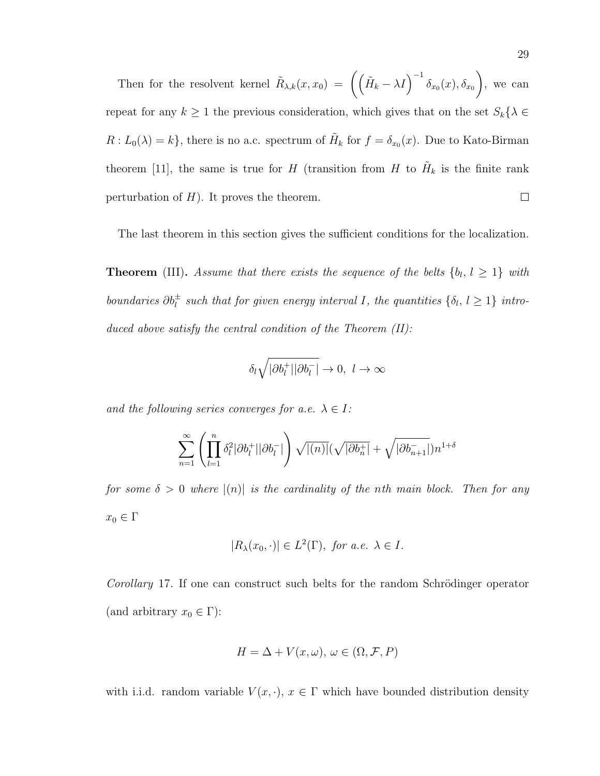Then for the resolvent kernel  $\tilde{R}_{\lambda,k}(x,x_0) = \left( \left( \tilde{H}_k - \lambda I \right)^{-1} \delta_{x_0}(x), \delta_{x_0} \right)$  $\setminus$ , we can repeat for any  $k \ge 1$  the previous consideration, which gives that on the set  $S_k\{\lambda \in$  $R: L_0(\lambda) = k$ , there is no a.c. spectrum of  $\tilde{H}_k$  for  $f = \delta_{x_0}(x)$ . Due to Kato-Birman theorem [11], the same is true for H (transition from H to  $H$ <sub>k</sub> is the finite rank perturbation of  $H$ ). It proves the theorem.  $\Box$ 

The last theorem in this section gives the sufficient conditions for the localization.

**Theorem** (III). Assume that there exists the sequence of the belts  $\{b_l, l \geq 1\}$  with boundaries  $\partial b_l^{\pm}$  such that for given energy interval I, the quantities  $\{\delta_l, l \geq 1\}$  introduced above satisfy the central condition of the Theorem  $(II)$ :

$$
\delta_l\sqrt{|\partial b_l^+||\partial b_l^-|}\to 0,\ l\to\infty
$$

and the following series converges for a.e.  $\lambda \in I$ :

$$
\sum_{n=1}^{\infty}\left(\prod_{l=1}^{n}\delta_{l}^{2}|\partial b_{l}^{+}||\partial b_{l}^{-}|\right)\sqrt{|(n)|}(\sqrt{|\partial b_{n}^{+}|}+\sqrt{|\partial b_{n+1}^{-}|})n^{1+\delta}
$$

for some  $\delta > 0$  where  $|(n)|$  is the cardinality of the nth main block. Then for any  $x_0 \in \Gamma$ 

$$
|R_{\lambda}(x_0,\cdot)| \in L^2(\Gamma), \text{ for a.e. } \lambda \in I.
$$

Corollary 17. If one can construct such belts for the random Schrödinger operator (and arbitrary  $x_0 \in \Gamma$ ):

$$
H = \Delta + V(x, \omega), \, \omega \in (\Omega, \mathcal{F}, P)
$$

with i.i.d. random variable  $V(x, \cdot)$ ,  $x \in \Gamma$  which have bounded distribution density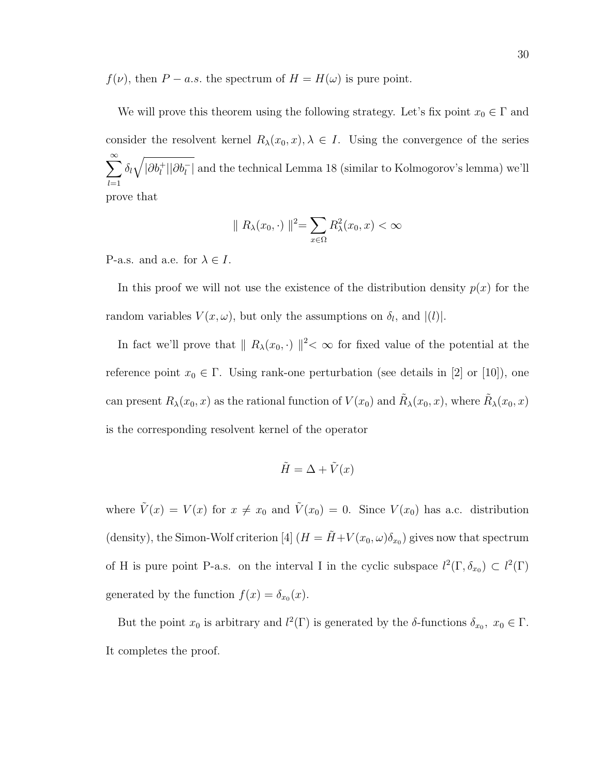$f(\nu)$ , then  $P - a.s$  the spectrum of  $H = H(\omega)$  is pure point.

We will prove this theorem using the following strategy. Let's fix point  $x_0 \in \Gamma$  and consider the resolvent kernel  $R_{\lambda}(x_0, x), \lambda \in I$ . Using the convergence of the series  $\sum^{\infty}$  $_{l=1}$  $\delta_l\sqrt{|\partial b_l^+||\partial b_l^-|}$  and the technical Lemma 18 (similar to Kolmogorov's lemma) we'll prove that

$$
\| R_{\lambda}(x_0, \cdot) \|^2 = \sum_{x \in \Omega} R_{\lambda}^2(x_0, x) < \infty
$$

P-a.s. and a.e. for  $\lambda \in I$ .

In this proof we will not use the existence of the distribution density  $p(x)$  for the random variables  $V(x, \omega)$ , but only the assumptions on  $\delta_l$ , and  $|(l)|$ .

In fact we'll prove that  $|| R_\lambda(x_0, \cdot) ||^2 < \infty$  for fixed value of the potential at the reference point  $x_0 \in \Gamma$ . Using rank-one perturbation (see details in [2] or [10]), one can present  $R_\lambda(x_0, x)$  as the rational function of  $V(x_0)$  and  $\tilde{R}_\lambda(x_0, x)$ , where  $\tilde{R}_\lambda(x_0, x)$ is the corresponding resolvent kernel of the operator

$$
\tilde{H} = \Delta + \tilde{V}(x)
$$

where  $\tilde{V}(x) = V(x)$  for  $x \neq x_0$  and  $\tilde{V}(x_0) = 0$ . Since  $V(x_0)$  has a.c. distribution (density), the Simon-Wolf criterion [4]  $(H = \tilde{H} + V(x_0, \omega)\delta_{x_0})$  gives now that spectrum of H is pure point P-a.s. on the interval I in the cyclic subspace  $l^2(\Gamma, \delta_{x_0}) \subset l^2(\Gamma)$ generated by the function  $f(x) = \delta_{x_0}(x)$ .

But the point  $x_0$  is arbitrary and  $l^2(\Gamma)$  is generated by the  $\delta$ -functions  $\delta_{x_0}, x_0 \in \Gamma$ . It completes the proof.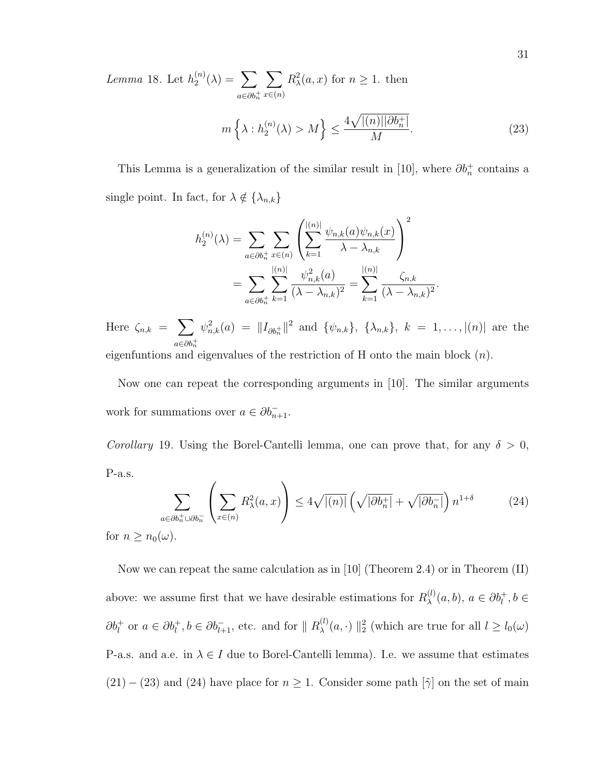Lemma 18. Let 
$$
h_2^{(n)}(\lambda) = \sum_{a \in \partial b_n^+} \sum_{x \in (n)} R_{\lambda}^2(a, x)
$$
 for  $n \ge 1$ . then  

$$
m\left\{\lambda : h_2^{(n)}(\lambda) > M\right\} \le \frac{4\sqrt{|(n)||\partial b_n^+|}}{M}.
$$
 (23)

This Lemma is a generalization of the similar result in [10], where  $\partial b_n^+$  contains a single point. In fact, for  $\lambda \notin {\lambda_{n,k}}$ 

$$
h_2^{(n)}(\lambda) = \sum_{a \in \partial b_n^+} \sum_{x \in (n)} \left( \sum_{k=1}^{|(n)|} \frac{\psi_{n,k}(a)\psi_{n,k}(x)}{\lambda - \lambda_{n,k}} \right)^2
$$
  
= 
$$
\sum_{a \in \partial b_n^+} \sum_{k=1}^{|(n)|} \frac{\psi_{n,k}^2(a)}{(\lambda - \lambda_{n,k})^2} = \sum_{k=1}^{|(n)|} \frac{\zeta_{n,k}}{(\lambda - \lambda_{n,k})^2}
$$

.

Here  $\zeta_{n,k} = \sum$  $a \in \partial b_n^+$  $\psi_{n,k}^2(a) = ||I_{\partial b_n^+}||^2$  and  $\{\psi_{n,k}\}, \{\lambda_{n,k}\}, k = 1, ..., |(n)|$  are the

eigenfuntions and eigenvalues of the restriction of H onto the main block  $(n)$ .

Now one can repeat the corresponding arguments in [10]. The similar arguments work for summations over  $a \in \partial b_{n+1}^-$ .

Corollary 19. Using the Borel-Cantelli lemma, one can prove that, for any  $\delta > 0$ , P-a.s.

$$
\sum_{a \in \partial b_n^+ \cup \partial b_n^-} \left( \sum_{x \in (n)} R_\lambda^2(a, x) \right) \le 4 \sqrt{|n|} \left( \sqrt{|\partial b_n^+|} + \sqrt{|\partial b_n^-|} \right) n^{1+\delta} \tag{24}
$$

for  $n \geq n_0(\omega)$ .

Now we can repeat the same calculation as in [10] (Theorem 2.4) or in Theorem (II) above: we assume first that we have desirable estimations for  $R_{\lambda}^{(l)}$  $\lambda^{(l)}(a,b), a \in \partial b_l^+, b \in$  $\partial b_l^+$  or  $a \in \partial b_l^+, b \in \partial b_{l+1}^-$ , etc. and for  $|| R_{\lambda}^{(l)}||$  $\lambda^{(l)}(\alpha, \cdot)$  ||<sup>2</sup> (which are true for all  $l \geq l_0(\omega)$ P-a.s. and a.e. in  $\lambda \in I$  due to Borel-Cantelli lemma). I.e. we assume that estimates  $(21) - (23)$  and  $(24)$  have place for  $n \geq 1$ . Consider some path  $[\tilde{\gamma}]$  on the set of main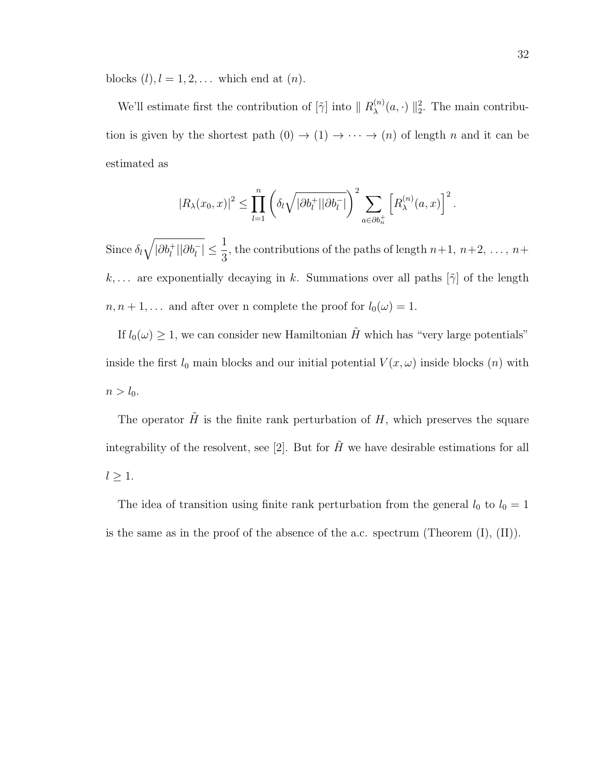blocks  $(l)$ ,  $l = 1, 2, \ldots$  which end at  $(n)$ .

We'll estimate first the contribution of  $[\tilde{\gamma}]$  into  $\parallel R_{\lambda}^{(n)}$  $_{\lambda}^{(n)}(a,\cdot)$  ||<sup>2</sup>. The main contribution is given by the shortest path  $(0) \rightarrow (1) \rightarrow \cdots \rightarrow (n)$  of length n and it can be estimated as

$$
|R_{\lambda}(x_0,x)|^2 \leq \prod_{l=1}^n \left( \delta_l \sqrt{|\partial b_l^+||\partial b_l^-|} \right)^2 \sum_{a \in \partial b_n^+} \left[ R_{\lambda}^{(n)}(a,x) \right]^2.
$$

Since  $\delta_l \sqrt{\left|\partial b_l^+\right| \left|\partial b_l^-\right|} \leq \frac{1}{3}$ 3 , the contributions of the paths of length  $n+1$ ,  $n+2$ , ...,  $n+$ k,... are exponentially decaying in k. Summations over all paths  $[\tilde{\gamma}]$  of the length  $n, n+1, \ldots$  and after over n complete the proof for  $l_0(\omega) = 1$ .

If  $l_0(\omega) \geq 1$ , we can consider new Hamiltonian  $\tilde{H}$  which has "very large potentials" inside the first  $l_0$  main blocks and our initial potential  $V(x, \omega)$  inside blocks  $(n)$  with  $n > l_0$ .

The operator  $\tilde{H}$  is the finite rank perturbation of H, which preserves the square integrability of the resolvent, see [2]. But for  $\tilde{H}$  we have desirable estimations for all  $l \geq 1$ .

The idea of transition using finite rank perturbation from the general  $l_0$  to  $l_0 = 1$ is the same as in the proof of the absence of the a.c. spectrum (Theorem (I), (II)).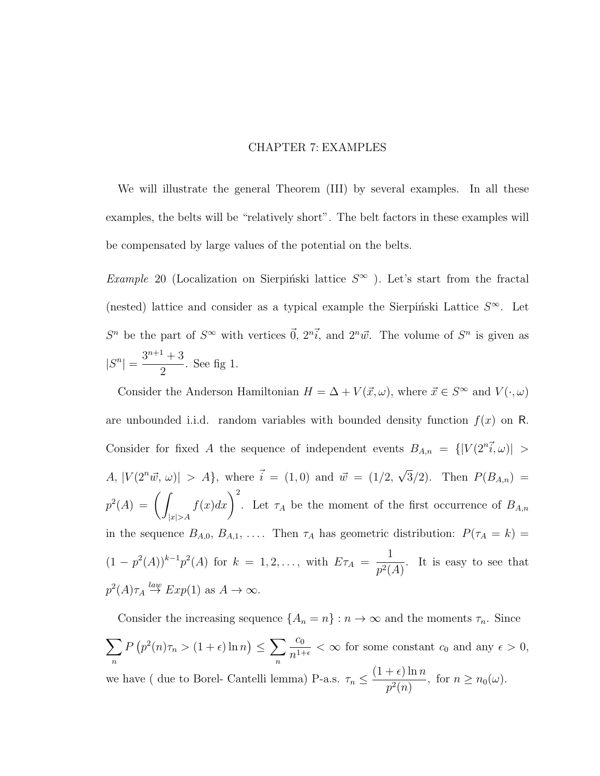#### CHAPTER 7: EXAMPLES

We will illustrate the general Theorem (III) by several examples. In all these examples, the belts will be "relatively short". The belt factors in these examples will be compensated by large values of the potential on the belts.

Example 20 (Localization on Sierpiński lattice  $S^{\infty}$ ). Let's start from the fractal (nested) lattice and consider as a typical example the Sierpinski Lattice  $S^{\infty}$ . Let  $S^n$  be the part of  $S^{\infty}$  with vertices  $\vec{0}$ ,  $2^n\vec{i}$ , and  $2^n\vec{w}$ . The volume of  $S^n$  is given as  $|S^n| = \frac{3^{n+1}+3}{2}$ 2 . See fig 1.

Consider the Anderson Hamiltonian  $H = \Delta + V(\vec{x}, \omega)$ , where  $\vec{x} \in S^{\infty}$  and  $V(\cdot, \omega)$ are unbounded i.i.d. random variables with bounded density function  $f(x)$  on R. Consider for fixed A the sequence of independent events  $B_{A,n} = \{|V(2^{n}i, \omega)| >$ A,  $|V(2^n\vec{w}, \omega)| > A$ , where  $\vec{i} = (1,0)$  and  $\vec{w} = (1/2, \sqrt{2^n\vec{w}})$ 3/2). Then  $P(B_{A,n}) =$  $p^2(A) = \left( \begin{array}{c} 1 \end{array} \right)$  $|x|>A$  $f(x)dx$ <sup>2</sup>. Let  $\tau_A$  be the moment of the first occurrence of  $B_{A,n}$ in the sequence  $B_{A,0}, B_{A,1}, \ldots$  Then  $\tau_A$  has geometric distribution:  $P(\tau_A = k)$  $(1-p^2(A))^{k-1}p^2(A)$  for  $k = 1, 2, ...,$  with  $E\tau_A =$ 1  $p^2(A)$ . It is easy to see that  $p^2(A)\tau_A \stackrel{law}{\rightarrow} Exp(1)$  as  $A \rightarrow \infty$ .

Consider the increasing sequence  $\{A_n = n\} : n \to \infty$  and the moments  $\tau_n$ . Since  $\sum$ n  $P(p^2(n)\tau_n > (1+\epsilon)\ln n) \leq \sum$ n  $c_0$  $\frac{c_0}{n^{1+\epsilon}} < \infty$  for some constant  $c_0$  and any  $\epsilon > 0$ , we have ( due to Borel- Cantelli lemma) P-a.s.  $\tau_n \leq \frac{(1+\epsilon)\ln n}{n^2}$  $\frac{1}{p^2(n)}$ , for  $n \geq n_0(\omega)$ .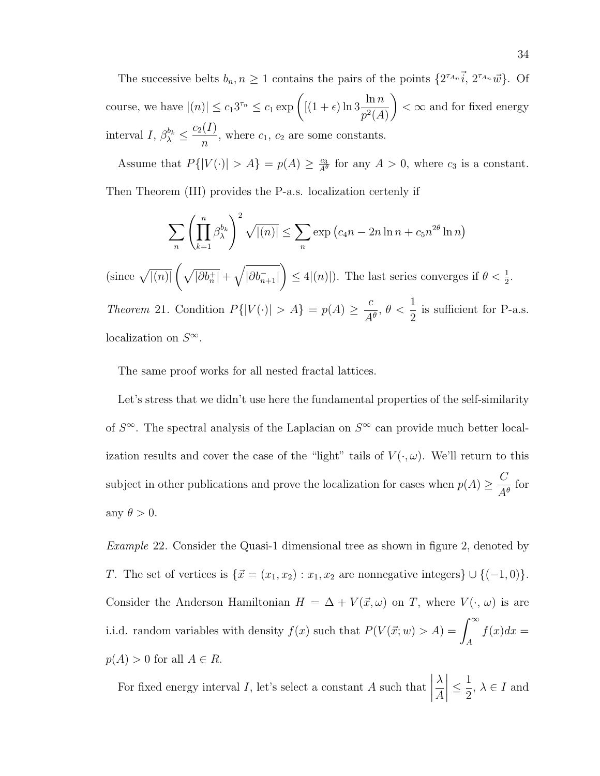The successive belts  $b_n, n \geq 1$  contains the pairs of the points  $\{2^{\tau_{A_n}}\vec{i}, 2^{\tau_{A_n}}\vec{w}\}\)$ . Of course, we have  $|(n)| \leq c_1 3^{\tau_n} \leq c_1 \exp\left(\frac{(1+\epsilon)\ln 3 \ln n}{2^{\gamma} 3\epsilon_1^{\gamma}}\right)$  $p^2(A)$  $\setminus$  $<$   $\infty$  and for fixed energy interval I,  $\beta_{\lambda}^{b_k} \leq \frac{c_2(I)}{n}$  $\frac{\lambda^{2}}{n}$ , where  $c_1$ ,  $c_2$  are some constants.

Assume that  $P\{|V(\cdot)| > A\} = p(A) \geq \frac{c_3}{46}$  $\frac{c_3}{A^{\theta}}$  for any  $A > 0$ , where  $c_3$  is a constant.

Then Theorem (III) provides the P-a.s. localization certenly if

$$
\sum_{n} \left(\prod_{k=1}^{n} \beta_{\lambda}^{b_{k}}\right)^{2} \sqrt{|(n)|} \le \sum_{n} \exp\left(c_{4}n - 2n\ln n + c_{5}n^{2\theta}\ln n\right)
$$

(since  $\sqrt{|(n)|}\left(\sqrt{|\partial b_n^+|}+\sqrt{|\partial b_{n+1}^-|}\right)$  $\Big) \leq 4|(n)|$ . The last series converges if  $\theta < \frac{1}{2}$ . Theorem 21. Condition  $P\{|V(\cdot)| > A\} = p(A) \geq \frac{c}{A}$  $A^{\theta}$  $, \theta < \frac{1}{2}$ 2 is sufficient for P-a.s.

localization on  $S^{\infty}$ .

The same proof works for all nested fractal lattices.

Let's stress that we didn't use here the fundamental properties of the self-similarity of  $S^{\infty}$ . The spectral analysis of the Laplacian on  $S^{\infty}$  can provide much better localization results and cover the case of the "light" tails of  $V(\cdot,\omega)$ . We'll return to this subject in other publications and prove the localization for cases when  $p(A) \geq \frac{C}{A}$  $\frac{\infty}{A^{\theta}}$  for any  $\theta > 0$ .

Example 22. Consider the Quasi-1 dimensional tree as shown in figure 2, denoted by T. The set of vertices is  $\{\vec{x} = (x_1, x_2) : x_1, x_2 \text{ are nonnegative integers}\} \cup \{(-1, 0)\}.$ Consider the Anderson Hamiltonian  $H = \Delta + V(\vec{x}, \omega)$  on T, where  $V(\cdot, \omega)$  is are i.i.d. random variables with density  $f(x)$  such that  $P(V(\vec{x}; w) > A) = \int_{-\infty}^{\infty}$ A  $f(x)dx =$  $p(A) > 0$  for all  $A \in R$ .

For fixed energy interval  $I$ , let's select a constant  $A$  such that  $\begin{array}{c} \begin{array}{c} \begin{array}{c} \begin{array}{c} \end{array}\\ \end{array} \end{array} \end{array}$ λ A  $\leq \frac{1}{2}$ 2 ,  $\lambda \in I$  and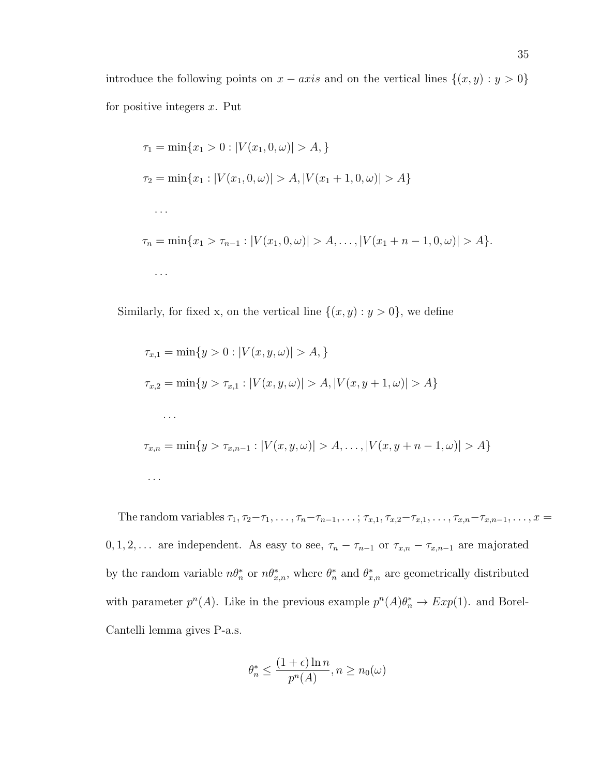introduce the following points on  $x - axis$  and on the vertical lines  $\{(x, y) : y > 0\}$ for positive integers  $x$ . Put

$$
\tau_1 = \min\{x_1 > 0 : |V(x_1, 0, \omega)| > A, \}
$$
  
\n
$$
\tau_2 = \min\{x_1 : |V(x_1, 0, \omega)| > A, |V(x_1 + 1, 0, \omega)| > A\}
$$
  
\n...  
\n
$$
\tau_n = \min\{x_1 > \tau_{n-1} : |V(x_1, 0, \omega)| > A, ..., |V(x_1 + n - 1, 0, \omega)| > A\}.
$$

Similarly, for fixed x, on the vertical line  $\{(x, y) : y > 0\}$ , we define

$$
\tau_{x,1} = \min\{y > 0 : |V(x, y, \omega)| > A\}
$$
\n
$$
\tau_{x,2} = \min\{y > \tau_{x,1} : |V(x, y, \omega)| > A, |V(x, y + 1, \omega)| > A\}
$$
\n
$$
\dots
$$
\n
$$
\tau_{x,n} = \min\{y > \tau_{x,n-1} : |V(x, y, \omega)| > A, \dots, |V(x, y + n - 1, \omega)| > A\}
$$
\n
$$
\dots
$$

The random variables  $\tau_1, \tau_2-\tau_1, \ldots, \tau_n-\tau_{n-1}, \ldots; \tau_{x,1}, \tau_{x,2}-\tau_{x,1}, \ldots, \tau_{x,n}-\tau_{x,n-1}, \ldots, x =$  $0, 1, 2, \ldots$  are independent. As easy to see,  $\tau_n - \tau_{n-1}$  or  $\tau_{x,n} - \tau_{x,n-1}$  are majorated by the random variable  $n\theta_n^*$  or  $n\theta_{x,n}^*$ , where  $\theta_n^*$  and  $\theta_{x,n}^*$  are geometrically distributed with parameter  $p^{n}(A)$ . Like in the previous example  $p^{n}(A)\theta_{n}^{*} \to Exp(1)$ . and Borel-Cantelli lemma gives P-a.s.

$$
\theta_n^* \le \frac{(1+\epsilon)\ln n}{p^n(A)}, n \ge n_0(\omega)
$$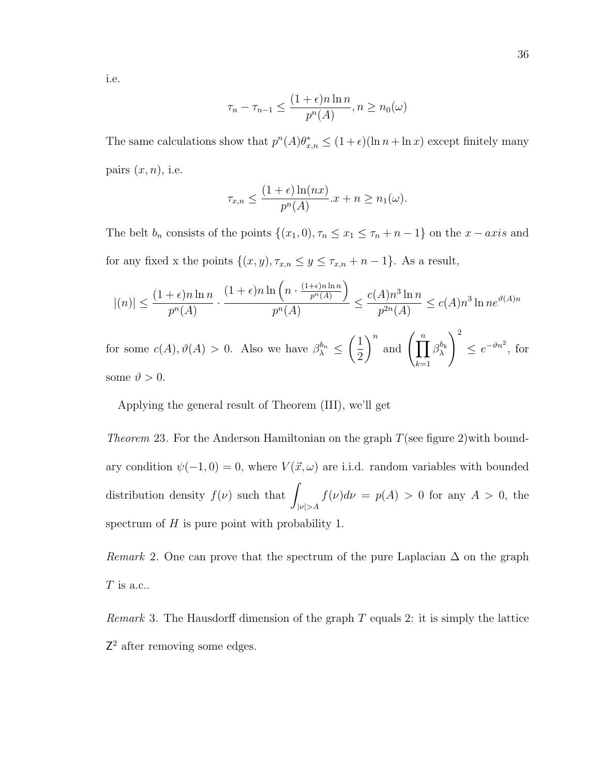i.e.

$$
\tau_n - \tau_{n-1} \le \frac{(1+\epsilon)n \ln n}{p^n(A)}, n \ge n_0(\omega)
$$

The same calculations show that  $p^{n}(A)\theta_{x,n}^{*} \leq (1+\epsilon)(\ln n + \ln x)$  except finitely many pairs  $(x, n)$ , i.e.

$$
\tau_{x,n} \le \frac{(1+\epsilon)\ln(nx)}{p^n(A)} \cdot x + n \ge n_1(\omega).
$$

The belt  $b_n$  consists of the points  $\{(x_1, 0), \tau_n \le x_1 \le \tau_n + n - 1\}$  on the  $x - axis$  and for any fixed x the points  $\{(x, y), \tau_{x,n} \le y \le \tau_{x,n} + n - 1\}$ . As a result,

$$
|(n)| \le \frac{(1+\epsilon)n \ln n}{p^n(A)} \cdot \frac{(1+\epsilon)n \ln \left(n \cdot \frac{(1+\epsilon)n \ln n}{p^n(A)}\right)}{p^n(A)} \le \frac{c(A)n^3 \ln n}{p^{2n}(A)} \le c(A)n^3 \ln n e^{\vartheta(A)n}
$$
  
for some  $c(A), \vartheta(A) > 0$ . Also we have  $\beta_{\lambda}^{b_n} \le \left(\frac{1}{2}\right)^n$  and  $\left(\prod_{k=1}^n \beta_{\lambda}^{b_k}\right)^2 \le e^{-\vartheta n^2}$ , for some  $\vartheta > 0$ .

Applying the general result of Theorem (III), we'll get

*Theorem* 23. For the Anderson Hamiltonian on the graph  $T$  (see figure 2) with boundary condition  $\psi(-1,0) = 0$ , where  $V(\vec{x}, \omega)$  are i.i.d. random variables with bounded distribution density  $f(\nu)$  such that  $|\nu| > A$  $f(\nu)d\nu = p(A) > 0$  for any  $A > 0$ , the spectrum of  $H$  is pure point with probability 1.

Remark 2. One can prove that the spectrum of the pure Laplacian  $\Delta$  on the graph  ${\cal T}$  is a.c..

*Remark* 3. The Hausdorff dimension of the graph  $T$  equals 2: it is simply the lattice Z<sup>2</sup> after removing some edges.